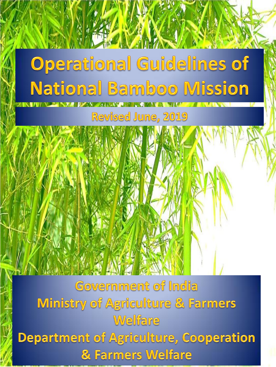# **Operational Guidelines of National Bamboo Mission**

Revised June, 2019

Government of India **Ministry of Agriculture & Farmers** Welfare **Department of Agriculture, Cooperation** & Farmers Welfare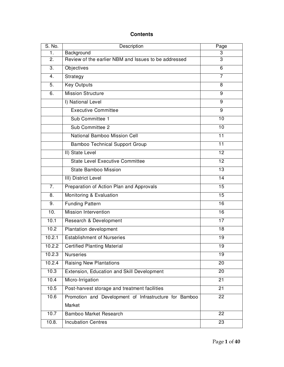# **Contents**

| S. No.           | Description                                            | Page            |  |  |  |  |  |
|------------------|--------------------------------------------------------|-----------------|--|--|--|--|--|
| 1.               | Background                                             | 3               |  |  |  |  |  |
| 2.               | Review of the earlier NBM and Issues to be addressed   | 3               |  |  |  |  |  |
| $\overline{3}$ . | Objectives                                             | 6               |  |  |  |  |  |
| 4.               | Strategy                                               | $\overline{7}$  |  |  |  |  |  |
| 5.               | <b>Key Outputs</b>                                     | 8               |  |  |  |  |  |
| 6.               | <b>Mission Structure</b>                               | 9               |  |  |  |  |  |
|                  | I) National Level                                      | 9               |  |  |  |  |  |
|                  | <b>Executive Committee</b>                             | 9               |  |  |  |  |  |
|                  | Sub Committee 1                                        | 10              |  |  |  |  |  |
|                  | Sub Committee 2                                        | 10              |  |  |  |  |  |
|                  | National Bamboo Mission Cell                           | $\overline{11}$ |  |  |  |  |  |
|                  | <b>Bamboo Technical Support Group</b>                  | $\overline{11}$ |  |  |  |  |  |
|                  | II) State Level                                        | $\overline{12}$ |  |  |  |  |  |
|                  | <b>State Level Executive Committee</b>                 | $\overline{12}$ |  |  |  |  |  |
|                  | <b>State Bamboo Mission</b>                            | 13              |  |  |  |  |  |
|                  | III) District Level                                    | $\overline{14}$ |  |  |  |  |  |
| 7.               | Preparation of Action Plan and Approvals               | 15              |  |  |  |  |  |
| 8.               | Monitoring & Evaluation                                | $\overline{15}$ |  |  |  |  |  |
| 9.               | <b>Funding Pattern</b>                                 | $\overline{16}$ |  |  |  |  |  |
| 10.              | Mission Intervention                                   | 16              |  |  |  |  |  |
| 10.1             | Research & Development                                 | 17              |  |  |  |  |  |
| 10.2             | Plantation development                                 | 18              |  |  |  |  |  |
| 10.2.1           | <b>Establishment of Nurseries</b>                      | 19              |  |  |  |  |  |
| 10.2.2           | <b>Certified Planting Material</b>                     | 19              |  |  |  |  |  |
| 10.2.3           | <b>Nurseries</b>                                       | 19              |  |  |  |  |  |
| 10.2.4           | <b>Raising New Plantations</b>                         | $\overline{2}0$ |  |  |  |  |  |
| 10.3             | Extension, Education and Skill Development             | $\overline{2}0$ |  |  |  |  |  |
| 10.4             | Micro-Irrigation                                       | $\overline{21}$ |  |  |  |  |  |
| 10.5             | Post-harvest storage and treatment facilities          | 21              |  |  |  |  |  |
| 10.6             | Promotion and Development of Infrastructure for Bamboo | 22              |  |  |  |  |  |
|                  | Market                                                 |                 |  |  |  |  |  |
| 10.7             | <b>Bamboo Market Research</b>                          | 22              |  |  |  |  |  |
| 10.8.            | $\overline{23}$<br><b>Incubation Centres</b>           |                 |  |  |  |  |  |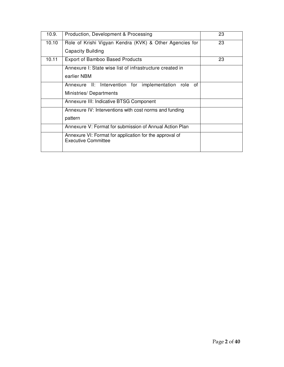| 10.9. | Production, Development & Processing                                                  | 23 |
|-------|---------------------------------------------------------------------------------------|----|
| 10.10 | Role of Krishi Vigyan Kendra (KVK) & Other Agencies for                               | 23 |
|       | Capacity Building                                                                     |    |
| 10.11 | <b>Export of Bamboo Based Products</b>                                                | 23 |
|       | Annexure I: State wise list of infrastructure created in                              |    |
|       | earlier NBM                                                                           |    |
|       | Annexure II: Intervention for implementation role of                                  |    |
|       | Ministries/Departments                                                                |    |
|       | Annexure III: Indicative BTSG Component                                               |    |
|       | Annexure IV: Interventions with cost norms and funding                                |    |
|       | pattern                                                                               |    |
|       | Annexure V: Format for submission of Annual Action Plan                               |    |
|       | Annexure VI: Format for application for the approval of<br><b>Executive Committee</b> |    |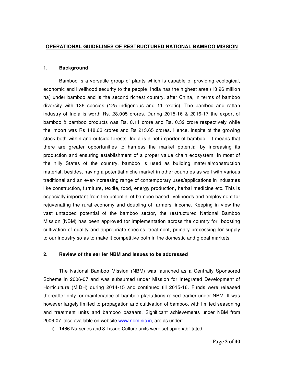#### **OPERATIONAL GUIDELINES OF RESTRUCTURED NATIONAL BAMBOO MISSION**

## **1. Background**

Bamboo is a versatile group of plants which is capable of providing ecological, economic and livelihood security to the people. India has the highest area (13.96 million ha) under bamboo and is the second richest country, after China, in terms of bamboo diversity with 136 species (125 indigenous and 11 exotic). The bamboo and rattan industry of India is worth Rs. 28,005 crores. During 2015-16 & 2016-17 the export of bamboo & bamboo products was Rs. 0.11 crore and Rs. 0.32 crore respectively while the import was Rs 148.63 crores and Rs 213.65 crores. Hence, inspite of the growing stock both within and outside forests, India is a net importer of bamboo. It means that there are greater opportunities to harness the market potential by increasing its production and ensuring establishment of a proper value chain ecosystem. In most of the hilly States of the country, bamboo is used as building material/construction material, besides, having a potential niche market in other countries as well with various traditional and an ever-increasing range of contemporary uses/applications in industries like construction, furniture, textile, food, energy production, herbal medicine etc. This is especially important from the potential of bamboo based livelihoods and employment for rejuvenating the rural economy and doubling of farmers' income. Keeping in view the vast untapped potential of the bamboo sector, the restructured National Bamboo Mission (NBM) has been approved for implementation across the country for boosting cultivation of quality and appropriate species, treatment, primary processing for supply to our industry so as to make it competitive both in the domestic and global markets.

#### **2. Review of the earlier NBM and Issues to be addressed**

The National Bamboo Mission (NBM) was launched as a Centrally Sponsored Scheme in 2006-07 and was subsumed under Mission for Integrated Development of Horticulture (MIDH) during 2014-15 and continued till 2015-16. Funds were released thereafter only for maintenance of bamboo plantations raised earlier under NBM. It was however largely limited to propagation and cultivation of bamboo, with limited seasoning and treatment units and bamboo bazaars. Significant achievements under NBM from 2006-07, also available on website www.nbm.nic.in, are as under:

i) 1466 Nurseries and 3 Tissue Culture units were set up/rehabilitated.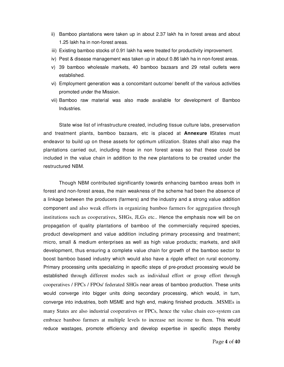- ii) Bamboo plantations were taken up in about 2.37 lakh ha in forest areas and about 1.25 lakh ha in non-forest areas.
- iii) Existing bamboo stocks of 0.91 lakh ha were treated for productivity improvement.
- iv) Pest & disease management was taken up in about 0.86 lakh ha in non-forest areas.
- v) 39 bamboo wholesale markets, 40 bamboo bazaars and 29 retail outlets were established.
- vi) Employment generation was a concomitant outcome/ benefit of the various activities promoted under the Mission.
- vii) Bamboo raw material was also made available for development of Bamboo Industries.

State wise list of infrastructure created, including tissue culture labs, preservation and treatment plants, bamboo bazaars, etc is placed at **Annexure I**States must endeavor to build up on these assets for optimum utilization. States shall also map the plantations carried out, including those in non forest areas so that these could be included in the value chain in addition to the new plantations to be created under the restructured NBM.

Though NBM contributed significantly towards enhancing bamboo areas both in forest and non-forest areas, the main weakness of the scheme had been the absence of a linkage between the producers (farmers) and the industry and a strong value addition component and also weak efforts in organizing bamboo farmers for aggregation through institutions such as cooperatives, SHGs, JLGs etc.. Hence the emphasis now will be on propagation of quality plantations of bamboo of the commercially required species, product development and value addition including primary processing and treatment; micro, small & medium enterprises as well as high value products; markets, and skill development, thus ensuring a complete value chain for growth of the bamboo sector to boost bamboo based industry which would also have a ripple effect on rural economy. Primary processing units specializing in specific steps of pre-product processing would be established through different modes such as individual effort or group effort through cooperatives / FPCs / FPOs/ federated SHGs near areas of bamboo production. These units would converge into bigger units doing secondary processing, which would, in turn, converge into industries, both MSME and high end, making finished products. .MSMEs in many States are also industrial cooperatives or FPCs, hence the value chain eco-system can embrace bamboo farmers at multiple levels to increase net income to them. This would reduce wastages, promote efficiency and develop expertise in specific steps thereby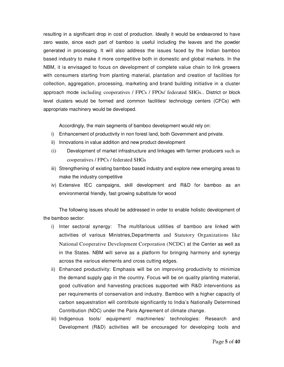resulting in a significant drop in cost of production. Ideally it would be endeavored to have zero waste, since each part of bamboo is useful including the leaves and the powder generated in processing. It will also address the issues faced by the Indian bamboo based industry to make it more competitive both in domestic and global markets. In the NBM, it is envisaged to focus on development of complete value chain to link growers with consumers starting from planting material, plantation and creation of facilities for collection, aggregation, processing, marketing and brand building initiative in a cluster approach mode including cooperatives / FPCs / FPOs/ federated SHGs.. District or block level clusters would be formed and common facilities/ technology centers (CFCs) with appropriate machinery would be developed.

Accordingly, the main segments of bamboo development would rely on:

- i) Enhancement of productivity in non forest land, both Government and private.
- ii) Innovations in value addition and new product development
- (i) Development of market infrastructure and linkages with farmer producers such as cooperatives / FPCs / federated SHGs
- iii) Strengthening of existing bamboo based industry and explore new emerging areas to make the industry competitive
- iv) Extensive IEC campaigns, skill development and R&D for bamboo as an environmental friendly, fast growing substitute for wood

The following issues should be addressed in order to enable holistic development of the bamboo sector:

- i) Inter sectoral synergy: The multifarious utilities of bamboo are linked with activities of various Ministries,Departments and Statutory Organizations like National Cooperative Development Corporation (NCDC) at the Center as well as in the States. NBM will serve as a platform for bringing harmony and synergy across the various elements and cross cutting edges.
- ii) Enhanced productivity: Emphasis will be on improving productivity to minimize the demand supply gap in the country. Focus will be on quality planting material, good cultivation and harvesting practices supported with R&D interventions as per requirements of conservation and industry. Bamboo with a higher capacity of carbon sequestration will contribute significantly to India's Nationally Determined Contribution (NDC) under the Paris Agreement of climate change.
- iii) Indigenous tools/ equipment/ machineries/ technologies: Research and Development (R&D) activities will be encouraged for developing tools and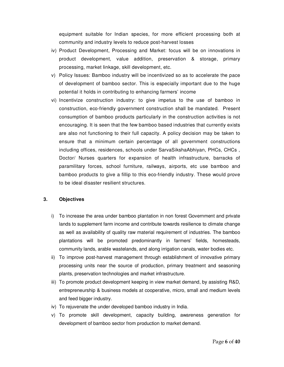equipment suitable for Indian species, for more efficient processing both at community and industry levels to reduce post-harvest losses

- iv) Product Development, Processing and Market: focus will be on innovations in product development, value addition, preservation & storage, primary processing, market linkage, skill development, etc.
- v) Policy Issues: Bamboo industry will be incentivized so as to accelerate the pace of development of bamboo sector. This is especially important due to the huge potential it holds in contributing to enhancing farmers' income
- vi) Incentivize construction industry: to give impetus to the use of bamboo in construction, eco-friendly government construction shall be mandated. Present consumption of bamboo products particularly in the construction activities is not encouraging. It is seen that the few bamboo based industries that currently exists are also not functioning to their full capacity. A policy decision may be taken to ensure that a minimum certain percentage of all government constructions including offices, residences, schools under SarvaSikshaAbhiyan, PHCs, CHCs , Doctor/ Nurses quarters for expansion of health infrastructure, barracks of paramilitary forces, school furniture, railways, airports, etc use bamboo and bamboo products to give a fillip to this eco-friendly industry. These would prove to be ideal disaster resilient structures.

# **3. Objectives**

- i) To increase the area under bamboo plantation in non forest Government and private lands to supplement farm income and contribute towards resilience to climate change as well as availability of quality raw material requirement of industries. The bamboo plantations will be promoted predominantly in farmers' fields, homesteads, community lands, arable wastelands, and along irrigation canals, water bodies etc.
- ii) To improve post-harvest management through establishment of innovative primary processing units near the source of production, primary treatment and seasoning plants, preservation technologies and market infrastructure.
- iii) To promote product development keeping in view market demand, by assisting R&D, entrepreneurship & business models at cooperative, micro, small and medium levels and feed bigger industry.
- iv) To rejuvenate the under developed bamboo industry in India.
- v) To promote skill development, capacity building, awareness generation for development of bamboo sector from production to market demand.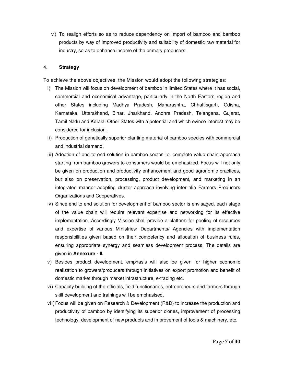vi) To realign efforts so as to reduce dependency on import of bamboo and bamboo products by way of improved productivity and suitability of domestic raw material for industry, so as to enhance income of the primary producers.

# 4. **Strategy**

To achieve the above objectives, the Mission would adopt the following strategies:

- i) The Mission will focus on development of bamboo in limited States where it has social, commercial and economical advantage, particularly in the North Eastern region and other States including Madhya Pradesh, Maharashtra, Chhattisgarh, Odisha, Karnataka, Uttarakhand, Bihar, Jharkhand, Andhra Pradesh, Telangana, Gujarat, Tamil Nadu and Kerala. Other States with a potential and which evince interest may be considered for inclusion.
- ii) Production of genetically superior planting material of bamboo species with commercial and industrial demand.
- iii) Adoption of end to end solution in bamboo sector i.e. complete value chain approach starting from bamboo growers to consumers would be emphasized. Focus will not only be given on production and productivity enhancement and good agronomic practices, but also on preservation, processing, product development, and marketing in an integrated manner adopting cluster approach involving inter alia Farmers Producers Organizations and Cooperatives.
- iv) Since end to end solution for development of bamboo sector is envisaged, each stage of the value chain will require relevant expertise and networking for its effective implementation. Accordingly Mission shall provide a platform for pooling of resources and expertise of various Ministries/ Departments/ Agencies with implementation responsibilities given based on their competency and allocation of business rules, ensuring appropriate synergy and seamless development process. The details are given in **Annexure - II.**
- v) Besides product development, emphasis will also be given for higher economic realization to growers/producers through initiatives on export promotion and benefit of domestic market through market infrastructure, e-trading etc.
- vi) Capacity building of the officials, field functionaries, entrepreneurs and farmers through skill development and trainings will be emphasised.
- vii) Focus will be given on Research & Development (R&D) to increase the production and productivity of bamboo by identifying its superior clones, improvement of processing technology, development of new products and improvement of tools & machinery, etc.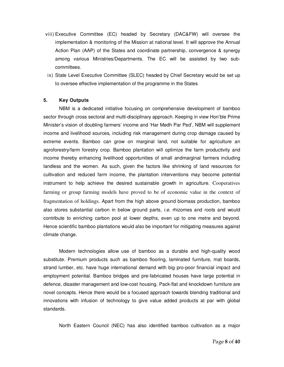- viii) Executive Committee (EC) headed by Secretary (DAC&FW) will oversee the implementation & monitoring of the Mission at national level. It will approve the Annual Action Plan (AAP) of the States and coordinate partnership, convergence & synergy among various Ministries/Departments. The EC will be assisted by two subcommittees.
- ix) State Level Executive Committee (SLEC) headed by Chief Secretary would be set up to oversee effective implementation of the programme in the States

# **5. Key Outputs**

NBM is a dedicated initiative focusing on comprehensive development of bamboo sector through cross sectoral and multi-disciplinary approach. Keeping in view Hon'ble Prime Minister's vision of doubling farmers' income and 'Har Medh Par Ped', NBM will supplement income and livelihood sources, including risk management during crop damage caused by extreme events. Bamboo can grow on marginal land, not suitable for agriculture an agroforestry/farm forestry crop. Bamboo plantation will optimize the farm productivity and income thereby enhancing livelihood opportunities of small andmarginal farmers including landless and the women. As such, given the factors like shrinking of land resources for cultivation and reduced farm income, the plantation interventions may become potential instrument to help achieve the desired sustainable growth in agriculture. Cooperatives farming or group farming models have proved to be of economic value in the context of fragmentation of holdings. Apart from the high above ground biomass production, bamboo also stores substantial carbon in below ground parts, *i.e.* rhizomes and roots and would contribute to enriching carbon pool at lower depths, even up to one metre and beyond. Hence scientific bamboo plantations would also be important for mitigating measures against climate change.

Modern technologies allow use of bamboo as a durable and high-quality wood substitute. Premium products such as bamboo flooring, laminated furniture, mat boards, strand lumber, etc. have huge international demand with big pro-poor financial impact and employment potential. Bamboo bridges and pre-fabricated houses have large potential in defence, disaster management and low-cost housing. Pack-flat and knockdown furniture are novel concepts. Hence there would be a focused approach towards blending traditional and innovations with infusion of technology to give value added products at par with global standards.

North Eastern Council (NEC) has also identified bamboo cultivation as a major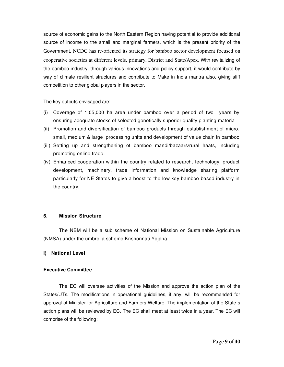source of economic gains to the North Eastern Region having potential to provide additional source of income to the small and marginal farmers, which is the present priority of the Government. NCDC has re-oriented its strategy for bamboo sector development focused on cooperative societies at different levels, primary, District and State/Apex. With revitalizing of the bamboo industry, through various innovations and policy support, it would contribute by way of climate resilient structures and contribute to Make in India mantra also, giving stiff competition to other global players in the sector.

The key outputs envisaged are:

- (i) Coverage of 1,05,000 ha area under bamboo over a period of two years by ensuring adequate stocks of selected genetically superior quality planting material
- (ii) Promotion and diversification of bamboo products through establishment of micro, small, medium & large processing units and development of value chain in bamboo
- (iii) Setting up and strengthening of bamboo mandi/bazaars/rural haats, including promoting online trade.
- (iv) Enhanced cooperation within the country related to research, technology, product development, machinery, trade information and knowledge sharing platform particularly for NE States to give a boost to the low key bamboo based industry in the country.

# **6. Mission Structure**

The NBM will be a sub scheme of National Mission on Sustainable Agriculture (NMSA) under the umbrella scheme Krishonnati Yojana.

# **I) National Level**

# **Executive Committee**

The EC will oversee activities of the Mission and approve the action plan of the States/UTs. The modifications in operational guidelines, if any, will be recommended for approval of Minister for Agriculture and Farmers Welfare. The implementation of the State`s action plans will be reviewed by EC. The EC shall meet at least twice in a year. The EC will comprise of the following: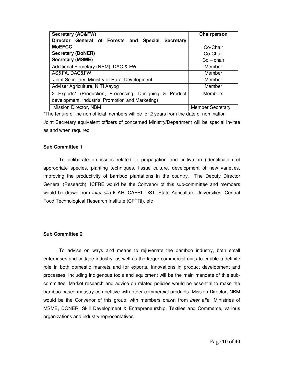| <b>Secretary (AC&amp;FW)</b>                            | Chairperson             |
|---------------------------------------------------------|-------------------------|
| Director General of Forests and Special Secretary       |                         |
| <b>MoEFCC</b>                                           | Co-Chair                |
| <b>Secretary (DoNER)</b>                                | Co-Chair                |
| <b>Secretary (MSME)</b>                                 | $Co - chain$            |
| Additional Secretary (NRM), DAC & FW                    | Member                  |
| AS&FA, DAC&FW                                           | Member                  |
| Joint Secretary, Ministry of Rural Development          | Member                  |
| Adviser Agriculture, NITI Aayog                         | Member                  |
| 2 Experts* (Production, Processing, Designing & Product | Members                 |
| development, Industrial Promotion and Marketing)        |                         |
| Mission Director, NBM                                   | <b>Member Secretary</b> |

\*The tenure of the non official members will be for 2 years from the date of nomination Joint Secretary equivalent officers of concerned Ministry/Department will be special invitee as and when required

#### **Sub Committee 1**

To deliberate on issues related to propagation and cultivation (identification of appropriate species, planting techniques, tissue culture, development of new varieties, improving the productivity of bamboo plantations in the country. The Deputy Director General (Research), ICFRE would be the Convenor of this sub-committee and members would be drawn from *inter alia* ICAR, CAFRI, DST, State Agriculture Universities, Central Food Technological Research Institute (CFTRI), etc

# **Sub Committee 2**

To advise on ways and means to rejuvenate the bamboo industry, both small enterprises and cottage industry, as well as the larger commercial units to enable a definite role in both domestic markets and for exports. Innovations in product development and processes, including indigenous tools and equipment will be the main mandate of this subcommittee. Market research and advice on related policies would be essential to make the bamboo based industry competitive with other commercial products. Mission Director, NBM would be the Convenor of this group, with members drawn from *inter alia* Ministries of MSME, DONER, Skill Development & Entrepreneurship, Textiles and Commerce, various organizations and industry representatives.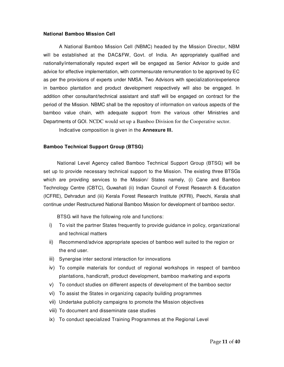#### **National Bamboo Mission Cell**

A National Bamboo Mission Cell (NBMC) headed by the Mission Director, NBM will be established at the DAC&FW, Govt. of India. An appropriately qualified and nationally/internationally reputed expert will be engaged as Senior Advisor to guide and advice for effective implementation, with commensurate remuneration to be approved by EC as per the provisions of experts under NMSA. Two Advisors with specialization/experience in bamboo plantation and product development respectively will also be engaged. In addition other consultant/technical assistant and staff will be engaged on contract for the period of the Mission. NBMC shall be the repository of information on various aspects of the bamboo value chain, with adequate support from the various other Ministries and Departments of GOI. NCDC would set up a Bamboo Division for the Cooperative sector.

Indicative composition is given in the **Annexure III.**

## **Bamboo Technical Support Group (BTSG)**

National Level Agency called Bamboo Technical Support Group (BTSG) will be set up to provide necessary technical support to the Mission. The existing three BTSGs which are providing services to the Mission/ States namely, (i) Cane and Bamboo Technology Centre (CBTC), Guwahati (ii) Indian Council of Forest Research & Education (ICFRE), Dehradun and (iii) Kerala Forest Research Institute (KFRI), Peechi, Kerala shall continue under Restructured National Bamboo Mission for development of bamboo sector.

BTSG will have the following role and functions:

- i) To visit the partner States frequently to provide guidance in policy, organizational and technical matters
- ii) Recommend/advice appropriate species of bamboo well suited to the region or the end user.
- iii) Synergise inter sectoral interaction for innovations
- iv) To compile materials for conduct of regional workshops in respect of bamboo plantations, handicraft, product development, bamboo marketing and exports
- v) To conduct studies on different aspects of development of the bamboo sector
- vi) To assist the States in organizing capacity building programmes
- vii) Undertake publicity campaigns to promote the Mission objectives
- viii) To document and disseminate case studies
- ix) To conduct specialized Training Programmes at the Regional Level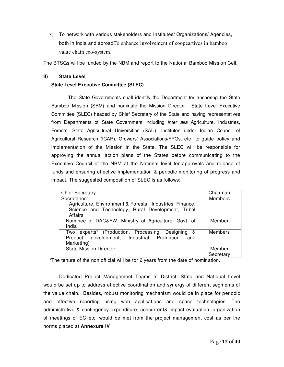x) To network with various stakeholders and Institutes/ Organizations/ Agencies, both in India and abroadTo enhance involvement of coopeartives in bamboo value chain eco-system.

The BTSGs will be funded by the NBM and report to the National Bamboo Mission Cell.

# **II) State Level**

# **State Level Executive Committee (SLEC)**

 The State Governments shall identify the Department for anchoring the State Bamboo Mission (SBM) and nominate the Mission Director . State Level Executive Committee (SLEC) headed by Chief Secretary of the State and having representatives from Departments of State Government including *inter alia* Agriculture, Industries, Forests, State Agricultural Universities (SAU), Institutes under Indian Council of Agricultural Research (ICAR), Growers' Associations/FPOs, etc to guide policy and implementation of the Mission in the State. The SLEC will be responsible for approving the annual action plans of the States before communicating to the Executive Council of the NBM at the National level for approvals and release of funds and ensuring effective implementation & periodic monitoring of progress and impact. The suggested composition of SLEC is as follows:

| <b>Chief Secretary</b>                                   | Chairman       |
|----------------------------------------------------------|----------------|
| Secretaries:                                             | <b>Members</b> |
| Agriculture, Environment & Forests, Industries, Finance, |                |
| Science and Technology, Rural Development, Tribal        |                |
| Affairs                                                  |                |
| Nominee of DAC&FW, Ministry of Agriculture, Govt. of     | Member         |
| India                                                    |                |
| Two experts* (Production, Processing, Designing<br>&     | Members        |
| Product development, Industrial Promotion<br>and         |                |
| Marketing)                                               |                |
| <b>State Mission Director</b>                            | Member         |
|                                                          | Secretary      |

\*The tenure of the non official will be for 2 years from the date of nomination.

Dedicated Project Management Teams at District, State and National Level would be set up to address effective coordination and synergy of different segments of the value chain. Besides, robust monitoring mechanism would be in place for periodic and effective reporting using web applications and space technologies. The administrative & contingency expenditure, concurrent& impact evaluation, organization of meetings of EC etc. would be met from the project management cost as per the norms placed at **Annexure IV**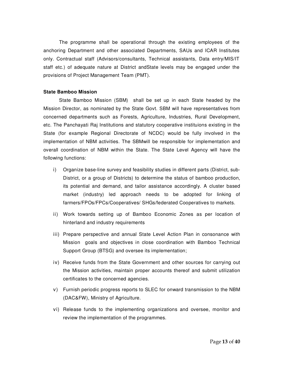The programme shall be operational through the existing employees of the anchoring Department and other associated Departments, SAUs and ICAR Institutes only. Contractual staff (Advisors/consultants, Technical assistants, Data entry/MIS/IT staff etc.) of adequate nature at District andState levels may be engaged under the provisions of Project Management Team (PMT).

#### **State Bamboo Mission**

State Bamboo Mission (SBM) shall be set up in each State headed by the Mission Director, as nominated by the State Govt. SBM will have representatives from concerned departments such as Forests, Agriculture, Industries, Rural Development, etc. The Panchayati Raj Institutions and statutory cooperative instituions existing in the State (for example Regional Directorate of NCDC) would be fully involved in the implementation of NBM activities. The SBMwill be responsible for implementation and overall coordination of NBM within the State. The State Level Agency will have the following functions:

- i) Organize base-line survey and feasibility studies in different parts (District, sub-District, or a group of Districts) to determine the status of bamboo production, its potential and demand, and tailor assistance accordingly. A cluster based market (industry) led approach needs to be adopted for linking of farmers/FPOs/FPCs/Cooperatives/ SHGs/federated Cooperatives to markets.
- ii) Work towards setting up of Bamboo Economic Zones as per location of hinterland and industry requirements
- iii) Prepare perspective and annual State Level Action Plan in consonance with Mission goals and objectives in close coordination with Bamboo Technical Support Group (BTSG) and oversee its implementation;
- iv) Receive funds from the State Government and other sources for carrying out the Mission activities, maintain proper accounts thereof and submit utilization certificates to the concerned agencies.
- v) Furnish periodic progress reports to SLEC for onward transmission to the NBM (DAC&FW), Ministry of Agriculture.
- vi) Release funds to the implementing organizations and oversee, monitor and review the implementation of the programmes.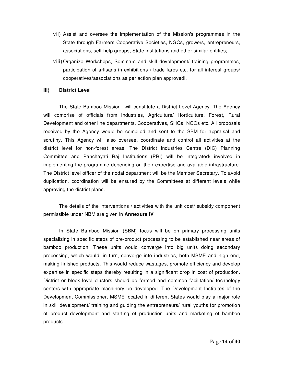- vii) Assist and oversee the implementation of the Mission's programmes in the State through Farmers Cooperative Societies, NGOs, growers, entrepreneurs, associations, self-help groups, State institutions and other similar entities;
- viii) Organize Workshops, Seminars and skill development/ training programmes, participation of artisans in exhibitions / trade fares etc. for all interest groups/ cooperatives/associations as per action plan approvedl.

# **III) District Level**

The State Bamboo Mission will constitute a District Level Agency. The Agency will comprise of officials from Industries, Agriculture/ Horticulture, Forest, Rural Development and other line departments, Cooperatives, SHGs, NGOs etc. All proposals received by the Agency would be compiled and sent to the SBM for appraisal and scrutiny. This Agency will also oversee, coordinate and control all activities at the district level for non-forest areas. The District Industries Centre (DIC) Planning Committee and Panchayati Raj Institutions (PRI) will be integrated/ involved in implementing the programme depending on their expertise and available infrastructure. The District level officer of the nodal department will be the Member Secretary. To avoid duplication, coordination will be ensured by the Committees at different levels while approving the district plans.

The details of the interventions / activities with the unit cost/ subsidy component permissible under NBM are given in **Annexure IV** 

In State Bamboo Mission (SBM) focus will be on primary processing units specializing in specific steps of pre-product processing to be established near areas of bamboo production. These units would converge into big units doing secondary processing, which would, in turn, converge into industries, both MSME and high end, making finished products. This would reduce wastages, promote efficiency and develop expertise in specific steps thereby resulting in a significant drop in cost of production. District or block level clusters should be formed and common facilitation/ technology centers with appropriate machinery be developed. The Development Institutes of the Development Commissioner, MSME located in different States would play a major role in skill development/ training and guiding the entrepreneurs/ rural youths for promotion of product development and starting of production units and marketing of bamboo products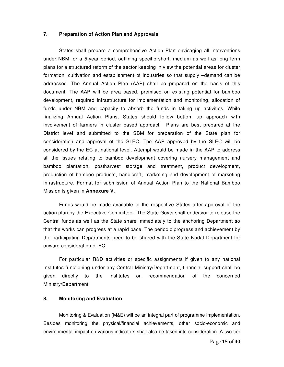# **7. Preparation of Action Plan and Approvals**

States shall prepare a comprehensive Action Plan envisaging all interventions under NBM for a 5-year period, outlining specific short, medium as well as long term plans for a structured reform of the sector keeping in view the potential areas for cluster formation, cultivation and establishment of industries so that supply –demand can be addressed. The Annual Action Plan (AAP) shall be prepared on the basis of this document. The AAP will be area based, premised on existing potential for bamboo development, required infrastructure for implementation and monitoring, allocation of funds under NBM and capacity to absorb the funds in taking up activities. While finalizing Annual Action Plans, States should follow bottom up approach with involvement of farmers in cluster based approach Plans are best prepared at the District level and submitted to the SBM for preparation of the State plan for consideration and approval of the SLEC. The AAP approved by the SLEC will be considered by the EC at national level. Attempt would be made in the AAP to address all the issues relating to bamboo development covering nursery management and bamboo plantation, postharvest storage and treatment, product development, production of bamboo products, handicraft, marketing and development of marketing infrastructure. Format for submission of Annual Action Plan to the National Bamboo Mission is given in **Annexure V**.

 Funds would be made available to the respective States after approval of the action plan by the Executive Committee. The State Govts shall endeavor to release the Central funds as well as the State share immediately to the anchoring Department so that the works can progress at a rapid pace. The periodic progress and achievement by the participating Departments need to be shared with the State Nodal Department for onward consideration of EC.

For particular R&D activities or specific assignments if given to any national Institutes functioning under any Central Ministry/Department, financial support shall be given directly to the Institutes on recommendation of the concerned Ministry/Department.

#### **8. Monitoring and Evaluation**

Monitoring & Evaluation (M&E) will be an integral part of programme implementation. Besides monitoring the physical/financial achievements, other socio-economic and environmental impact on various indicators shall also be taken into consideration. A two tier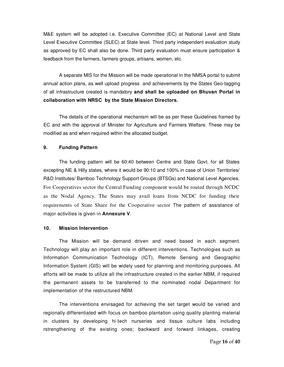M&E system will be adopted i.e. Executive Committee (EC) at National Level and State Level Executive Committee (SLEC) at State level. Third party independent evaluation study as approved by EC shall also be done. Third party evaluation must ensure participation & feedback from the farmers, farmers groups, artisans, women, etc.

 A separate MIS for the Mission will be made operational in the NMSA portal to submit annual action plans, as well upload progress and achievements by the States Geo-tagging of all infrastructure created is mandatory **and shall be uploaded on Bhuvan Portal in collaboration with NRSC by the State Mission Directors.** 

The details of the operational mechanism will be as per these Guidelines framed by EC and with the approval of Minister for Agriculture and Farmers Welfare. These may be modified as and when required within the allocated budget.

## **9. Funding Pattern**

The funding pattern will be 60:40 between Centre and State Govt. for all States excepting NE & Hilly states, where it would be 90:10 and 100% in case of Union Territories/ R&D Institutes/ Bamboo Technology Support Groups (BTSGs) and National Level Agencies. For Cooperatives sector the Central Funding component would be routed through NCDC as the Nodal Agency. The States may avail loans from NCDC for funding their requirements of State Share for the Cooperative sector The pattern of assistance of major activities is given in **Annexure V**.

## **10. Mission Intervention**

The Mission will be demand driven and need based in each segment. Technology will play an important role in different interventions. Technologies such as Information Communication Technology (ICT), Remote Sensing and Geographic Information System (GIS) will be widely used for planning and monitoring purposes. All efforts will be made to utilize all the infrastructure created in the earlier NBM, if required the permanent assets to be transferred to the nominated nodal Department for implementation of the restructured NBM.

The interventions envisaged for achieving the set target would be varied and regionally differentiated with focus on bamboo plantation using quality planting material in clusters by developing hi-tech nurseries and tissue culture labs including rstrengthening of the existing ones; backward and forward linkages, creating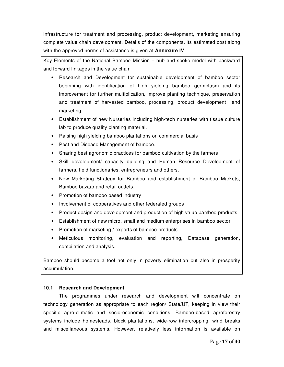infrastructure for treatment and processing, product development, marketing ensuring complete value chain development. Details of the components, its estimated cost along with the approved norms of assistance is given at **Annexure IV**

Key Elements of the National Bamboo Mission – hub and spoke model with backward and forward linkages in the value chain

- Research and Development for sustainable development of bamboo sector beginning with identification of high yielding bamboo germplasm and its improvement for further multiplication, improve planting technique, preservation and treatment of harvested bamboo, processing, product development and marketing.
- Establishment of new Nurseries including high-tech nurseries with tissue culture lab to produce quality planting material.
- Raising high yielding bamboo plantations on commercial basis
- Pest and Disease Management of bamboo.
- Sharing best agronomic practices for bamboo cultivation by the farmers
- Skill development/ capacity building and Human Resource Development of farmers, field functionaries, entrepreneurs and others.
- New Marketing Strategy for Bamboo and establishment of Bamboo Markets, Bamboo bazaar and retail outlets.
- Promotion of bamboo based industry
- Involvement of cooperatives and other federated groups
- Product design and development and production of high value bamboo products.
- Establishment of new micro, small and medium enterprises in bamboo sector.
- Promotion of marketing / exports of bamboo products.
- Meticulous monitoring, evaluation and reporting, Database generation, compilation and analysis.

Bamboo should become a tool not only in poverty elimination but also in prosperity accumulation.

# **10.1 Research and Development**

The programmes under research and development will concentrate on technology generation as appropriate to each region/ State/UT, keeping in view their specific agro-climatic and socio-economic conditions. Bamboo-based agroforestry systems include homesteads, block plantations, wide-row intercropping, wind breaks and miscellaneous systems. However, relatively less information is available on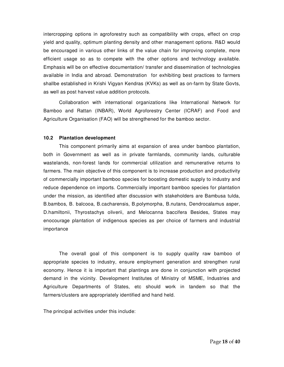intercropping options in agroforestry such as compatibility with crops, effect on crop yield and quality, optimum planting density and other management options. R&D would be encouraged in various other links of the value chain for improving complete, more efficient usage so as to compete with the other options and technology available. Emphasis will be on effective documentation/ transfer and dissemination of technologies available in India and abroad. Demonstration for exhibiting best practices to farmers shallbe established in Krishi Vigyan Kendras (KVKs) as well as on-farm by State Govts, as well as post harvest value addition protocols.

Collaboration with international organizations like International Network for Bamboo and Rattan (INBAR), World Agroforestry Center (ICRAF) and Food and Agriculture Organisation (FAO) will be strengthened for the bamboo sector.

## **10.2 Plantation development**

This component primarily aims at expansion of area under bamboo plantation, both in Government as well as in private farmlands, community lands, culturable wastelands, non-forest lands for commercial utilization and remunerative returns to farmers. The main objective of this component is to increase production and productivity of commercially important bamboo species for boosting domestic supply to industry and reduce dependence on imports. Commercially important bamboo species for plantation under the mission, as identified after discussion with stakeholders are Bambusa tulda, B.bambos, B. balcooa, B.cacharensis, B.polymorpha, B.nutans, Dendrocalamus asper, D.hamiltonii, Thyrostachys oliverii, and Melocanna baccifera Besides, States may enocourage plantation of indigenous species as per choice of farmers and industrial importance

The overall goal of this component is to supply quality raw bamboo of appropriate species to industry, ensure employment generation and strengthen rural economy. Hence it is important that plantings are done in conjunction with projected demand in the vicinity. Development Institutes of Ministry of MSME, Industries and Agriculture Departments of States, etc should work in tandem so that the farmers/clusters are appropriately identified and hand held.

The principal activities under this include: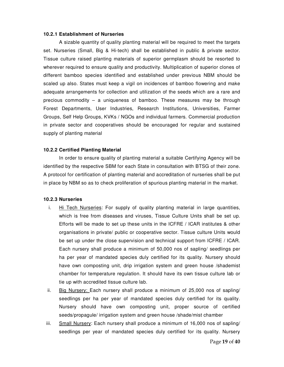#### **10.2.1 Establishment of Nurseries**

A sizable quantity of quality planting material will be required to meet the targets set. Nurseries (Small, Big & Hi-tech) shall be established in public & private sector. Tissue culture raised planting materials of superior germplasm should be resorted to wherever required to ensure quality and productivity. Multiplication of superior clones of different bamboo species identified and established under previous NBM should be scaled up also. States must keep a vigil on incidences of bamboo flowering and make adequate arrangements for collection and utilization of the seeds which are a rare and precious commodity – a uniqueness of bamboo. These measures may be through Forest Departments, User Industries, Research Institutions, Universities, Farmer Groups, Self Help Groups, KVKs / NGOs and individual farmers. Commercial production in private sector and cooperatives should be encouraged for regular and sustained supply of planting material

#### **10.2.2 Certified Planting Material**

In order to ensure quality of planting material a suitable Certifying Agency will be identified by the respective SBM for each State in consultation with BTSG of their zone. A protocol for certification of planting material and accreditation of nurseries shall be put in place by NBM so as to check proliferation of spurious planting material in the market.

#### **10.2.3 Nurseries**

- i. Hi Tech Nurseries: For supply of quality planting material in large quantities, which is free from diseases and viruses, Tissue Culture Units shall be set up. Efforts will be made to set up these units in the ICFRE / ICAR institutes & other organisations in private/ public or cooperative sector. Tissue culture Units would be set up under the close supervision and technical support from ICFRE / ICAR. Each nursery shall produce a minimum of 50,000 nos of sapling/ seedlings per ha per year of mandated species duly certified for its quality. Nursery should have own composting unit, drip irrigation system and green house /shademist chamber for temperature regulation. It should have its own tissue culture lab or tie up with accredited tissue culture lab.
- ii. Big Nursery: Each nursery shall produce a minimum of 25,000 nos of sapling/ seedlings per ha per year of mandated species duly certified for its quality. Nursery should have own composting unit, proper source of certified seeds/propagule/ irrigation system and green house /shade/mist chamber
- iii. Small Nursery: Each nursery shall produce a minimum of 16,000 nos of sapling/ seedlings per year of mandated species duly certified for its quality. Nursery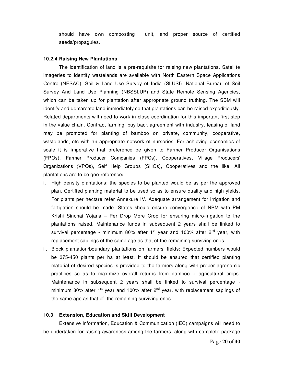should have own composting unit, and proper source of certified seeds/propagules.

#### **10.2.4 Raising New Plantations**

The identification of land is a pre-requisite for raising new plantations. Satellite imageries to identify wastelands are available with North Eastern Space Applications Centre (NESAC), Soil & Land Use Survey of India (SLUSI), National Bureau of Soil Survey And Land Use Planning (NBSSLUP) and State Remote Sensing Agencies, which can be taken up for plantation after appropriate ground truthing. The SBM will identify and demarcate land immediately so that plantations can be raised expeditiously. Related departments will need to work in close coordination for this important first step in the value chain. Contract farming, buy back agreement with industry, leasing of land may be promoted for planting of bamboo on private, community, cooperative, wastelands, etc with an appropriate network of nurseries. For achieving economies of scale it is imperative that preference be given to Farmer Producer Organisations (FPOs), Farmer Producer Companies (FPCs), Cooperatives, Village Producers' Organizations (VPOs), Self Help Groups (SHGs), Cooperatives and the like. All plantations are to be geo-referenced.

- i. High density plantations: the species to be planted would be as per the approved plan. Certified planting material to be used so as to ensure quality and high yields. For plants per hectare refer Annexure IV. Adequate arrangement for irrigation and fertigation should be made. States should ensure convergence of NBM with PM Krishi Sinchai Yojana – Per Drop More Crop for ensuring micro-irigation to the plantations raised. Maintenance funds in subsequent 2 years shall be linked to survival percentage - minimum 80% after  $1<sup>st</sup>$  year and 100% after  $2<sup>nd</sup>$  year, with replacement saplings of the same age as that of the remaining surviving ones.
- ii. Block plantation/boundary plantations on farmers' fields: Expected numbers would be 375-450 plants per ha at least. It should be ensured that certified planting material of desired species is provided to the farmers along with proper agronomic practices so as to maximize overall returns from bamboo + agricultural crops. Maintenance in subsequent 2 years shall be linked to survival percentage minimum 80% after  $1<sup>st</sup>$  year and 100% after  $2<sup>nd</sup>$  year, with replacement saplings of the same age as that of the remaining surviving ones.

#### **10.3 Extension, Education and Skill Development**

Extensive Information, Education & Communication (IEC) campaigns will need to be undertaken for raising awareness among the farmers, along with complete package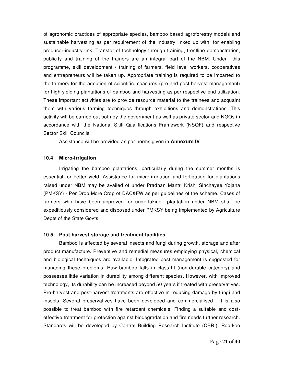of agronomic practices of appropriate species, bamboo based agroforestry models and sustainable harvesting as per requirement of the industry linked up with, for enabling producer-industry link. Transfer of technology through training, frontline demonstration, publicity and training of the trainers are an integral part of the NBM. Under this programme, skill development / training of farmers, field level workers, cooperatives and entrepreneurs will be taken up. Appropriate training is required to be imparted to the farmers for the adoption of scientific measures (pre and post harvest management) for high yielding plantations of bamboo and harvesting as per respective end utilization. These important activities are to provide resource material to the trainees and acquaint them with various farming techniques through exhibitions and demonstrations. This activity will be carried out both by the government as well as private sector and NGOs in accordance with the National Skill Qualifications Framework (NSQF) and respective Sector Skill Councils.

Assistance will be provided as per norms given in **Annexure IV** 

## **10.4 Micro-Irrigation**

Irrigating the bamboo plantations, particularly during the summer months is essential for better yield. Assistance for micro-irrigation and fertigation for plantations raised under NBM may be availed of under Pradhan Mantri Krishi Sinchayee Yojana (PMKSY) - Per Drop More Crop of DAC&FW as per guidelines of the scheme. Cases of farmers who have been approved for undertaking plantation under NBM shall be expeditiously considered and disposed under PMKSY being implemented by Agriculture Depts of the State Govts

#### **10.5 Post-harvest storage and treatment facilities**

 Bamboo is affected by several insects and fungi during growth, storage and after product manufacture. Preventive and remedial measures employing physical, chemical and biological techniques are available. Integrated pest management is suggested for managing these problems. Raw bamboo falls in class-III (non-durable category) and possesses little variation in durability among different species. However, with improved technology, its durability can be increased beyond 50 years if treated with preservatives. Pre-harvest and post-harvest treatments are effective in reducing damage by fungi and insects. Several preservatives have been developed and commercialised. It is also possible to treat bamboo with fire retardant chemicals. Finding a suitable and costeffective treatment for protection against biodegradation and fire needs further research. Standards will be developed by Central Building Research Institute (CBRI), Roorkee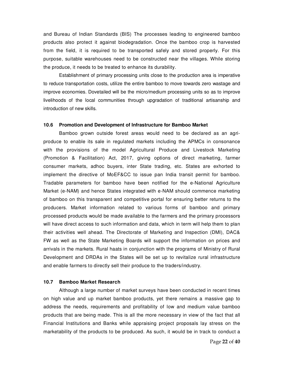and Bureau of Indian Standards (BIS) The processes leading to engineered bamboo products also protect it against biodegradation. Once the bamboo crop is harvested from the field, it is required to be transported safely and stored properly. For this purpose, suitable warehouses need to be constructed near the villages. While storing the produce, it needs to be treated to enhance its durability.

 Establishment of primary processing units close to the production area is imperative to reduce transportation costs, utilize the entire bamboo to move towards zero wastage and improve economies. Dovetailed will be the micro/medium processing units so as to improve livelihoods of the local communities through upgradation of traditional artisanship and introduction of new skills.

#### **10.6 Promotion and Development of Infrastructure for Bamboo Market**

Bamboo grown outside forest areas would need to be declared as an agriproduce to enable its sale in regulated markets including the APMCs in consonance with the provisions of the model Agricultural Produce and Livestock Marketing (Promotion & Facilitation) Act, 2017, giving options of direct marketing, farmer consumer markets, adhoc buyers, inter State trading, etc. States are exhorted to implement the directive of MoEF&CC to issue pan India transit permit for bamboo. Tradable parameters for bamboo have been notified for the e-National Agriculture Market (e-NAM) and hence States integrated with e-NAM should commence marketing of bamboo on this transparent and competitive portal for ensuring better returns to the producers. Market information related to various forms of bamboo and primary processed products would be made available to the farmers and the primary processors will have direct access to such information and data, which in term will help them to plan their activities well ahead. The Directorate of Marketing and Inspection (DMI), DAC& FW as well as the State Marketing Boards will support the information on prices and arrivals in the markets. Rural haats in conjunction with the programs of Ministry of Rural Development and DRDAs in the States will be set up to revitalize rural infrastructure and enable farmers to directly sell their produce to the traders/industry.

#### **10.7 Bamboo Market Research**

Although a large number of market surveys have been conducted in recent times on high value and up market bamboo products, yet there remains a massive gap to address the needs, requirements and profitability of low and medium value bamboo products that are being made. This is all the more necessary in view of the fact that all Financial Institutions and Banks while appraising project proposals lay stress on the marketability of the products to be produced. As such, it would be in track to conduct a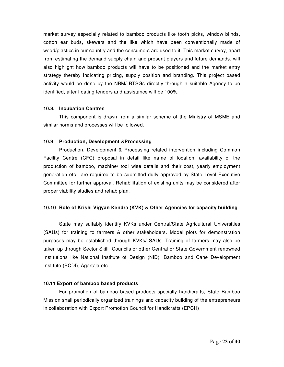market survey especially related to bamboo products like tooth picks, window blinds, cotton ear buds, skewers and the like which have been conventionally made of wood/plastics in our country and the consumers are used to it. This market survey, apart from estimating the demand supply chain and present players and future demands, will also highlight how bamboo products will have to be positioned and the market entry strategy thereby indicating pricing, supply position and branding. This project based activity would be done by the NBM/ BTSGs directly through a suitable Agency to be identified, after floating tenders and assistance will be 100%.

# **10.8. Incubation Centres**

 This component is drawn from a similar scheme of the Ministry of MSME and similar norms and processes will be followed.

# **10.9 Production, Development &Processing**

Production, Development & Processing related intervention including Common Facility Centre (CFC) proposal in detail like name of location, availability of the production of bamboo, machine/ tool wise details and their cost, yearly employment generation etc., are required to be submitted dully approved by State Level Executive Committee for further approval. Rehabilitation of existing units may be considered after proper viability studies and rehab plan.

# **10.10 Role of Krishi Vigyan Kendra (KVK) & Other Agencies for capacity building**

State may suitably identify KVKs under Central/State Agricultural Universities (SAUs) for training to farmers & other stakeholders. Model plots for demonstration purposes may be established through KVKs/ SAUs. Training of farmers may also be taken up through Sector Skill Councils or other Central or State Government renowned Institutions like National Institute of Design (NID), Bamboo and Cane Development Institute (BCDI), Agartala etc.

# **10.11 Export of bamboo based products**

For promotion of bamboo based products specially handicrafts, State Bamboo Mission shall periodically organized trainings and capacity building of the entrepreneurs in collaboration with Export Promotion Council for Handicrafts (EPCH)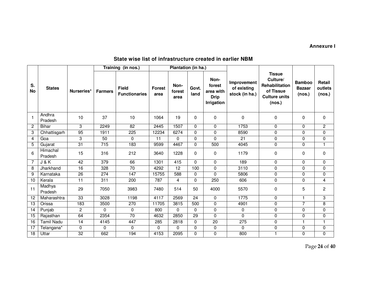# **Annexure I**

# **State wise list of infrastructure created in earlier NBM**

|                 |                     |                 |                  | Training (in nos.)                   | Plantation (in ha.)   |                        |                 |                                                          |                                              |                                                                                                   |                                          |                             |
|-----------------|---------------------|-----------------|------------------|--------------------------------------|-----------------------|------------------------|-----------------|----------------------------------------------------------|----------------------------------------------|---------------------------------------------------------------------------------------------------|------------------------------------------|-----------------------------|
| S.<br><b>No</b> | <b>States</b>       | Nurseries*      | <b>Farmers</b>   | <b>Field</b><br><b>Functionaries</b> | <b>Forest</b><br>area | Non-<br>forest<br>area | Govt.<br>land   | Non-<br>forest<br>area with<br><b>Drip</b><br>Irrigation | Improvement<br>of existing<br>stock (in ha.) | <b>Tissue</b><br>Culture/<br><b>Rehabilitation</b><br>of Tissue<br><b>Culture units</b><br>(nos.) | <b>Bamboo</b><br><b>Bazaar</b><br>(nos.) | Retail<br>outlets<br>(nos.) |
|                 | Andhra<br>Pradesh   | 10              | 37               | 10                                   | 1064                  | 19                     | 0               | 0                                                        | 0                                            | $\mathbf 0$                                                                                       | 0                                        | 0                           |
| $\overline{c}$  | <b>Bihar</b>        | 3               | 2249             | 82                                   | 2445                  | 1507                   | $\Omega$        | $\Omega$                                                 | 1753                                         | 0                                                                                                 | $\Omega$                                 | $\overline{2}$              |
| 3               | Chhattisgarh        | $\overline{95}$ | 1911             | 225                                  | 12234                 | 6274                   | $\Omega$        | $\Omega$                                                 | 8590                                         | 0                                                                                                 | $\mathbf 0$                              | 0                           |
| 4               | Goa                 | 3               | 50               | 0                                    | 11                    | $\Omega$               | $\Omega$        | $\Omega$                                                 | 21                                           | 0                                                                                                 | 0                                        | 0                           |
| 5               | Gujarat             | $\overline{31}$ | $\overline{715}$ | 183                                  | 9599                  | 4467                   | $\Omega$        | 500                                                      | 4045                                         | 0                                                                                                 | 0                                        | 1                           |
| 6               | Himachal<br>Pradesh | 15              | 316              | 212                                  | 3640                  | 1228                   | 0               | $\Omega$                                                 | 1179                                         | $\Omega$                                                                                          | 0                                        | 0                           |
| 7               | J & K               | 42              | $\overline{379}$ | 66                                   | 1301                  | 415                    | $\mathbf{0}$    | $\Omega$                                                 | 189                                          | 0                                                                                                 | 0                                        | 0                           |
| 8               | Jharkhand           | $\overline{16}$ | 328              | $\overline{70}$                      | 4292                  | $\overline{12}$        | 100             | 0                                                        | 3110                                         | 0                                                                                                 | 0                                        | $\mathbf 0$                 |
| 9               | Karnataka           | 26              | 274              | 147                                  | 15755                 | 588                    | 0               | $\Omega$                                                 | 5806                                         | 0                                                                                                 | 0                                        | 0                           |
| 10              | Kerala              | 11              | 311              | 200                                  | 787                   | $\overline{4}$         | $\mathbf{0}$    | 250                                                      | 606                                          | 0                                                                                                 | 0                                        | 4                           |
| 11              | Madhya<br>Pradesh   | 29              | 7050             | 3983                                 | 7480                  | 514                    | 50              | 4000                                                     | 5570                                         | $\mathbf 0$                                                                                       | 5                                        | $\overline{c}$              |
| 12              | Maharashtra         | 33              | 3028             | 1198                                 | 4117                  | 2569                   | $\overline{24}$ | 0                                                        | 1775                                         | 0                                                                                                 | 1.                                       | 3                           |
| 13              | Orissa              | 183             | 3500             | 270                                  | 11705                 | 3815                   | 500             | $\Omega$                                                 | 4901                                         | 0                                                                                                 | 7                                        | 8                           |
| 14              | Punjab              | 2               | 0                | 0                                    | 800                   | $\Omega$               | $\Omega$        | $\Omega$                                                 | $\mathbf 0$                                  | 0                                                                                                 | 0                                        | 0                           |
| 15              | Rajasthan           | 64              | 2354             | $\overline{70}$                      | 4632                  | 2850                   | 29              | $\Omega$                                                 | $\mathbf{0}$                                 | 0                                                                                                 | $\Omega$                                 | 0                           |
| 16              | <b>Tamil Nadu</b>   | 14              | 4145             | 447                                  | 285                   | 2818                   | $\mathbf{0}$    | $\overline{20}$                                          | 275                                          | 0                                                                                                 | 1                                        | 1                           |
| 17              | Telangana*          | 0               | 0                | 0                                    | 0                     | $\Omega$               | $\mathbf{0}$    | 0                                                        | 0                                            | 0                                                                                                 | 0                                        | 0                           |
| 18              | Uttar               | 32              | 662              | 194                                  | 4153                  | 2095                   | 0               | 0                                                        | 800                                          | 1                                                                                                 | 0                                        | 0                           |

Page **24** of **40**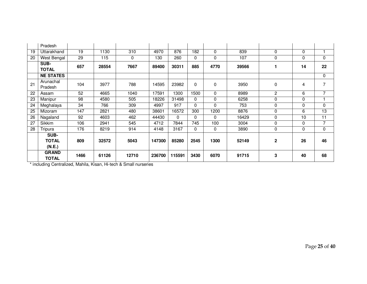|    | Pradesh          |      |       |       |        |          |          |              |       |             |             |          |
|----|------------------|------|-------|-------|--------|----------|----------|--------------|-------|-------------|-------------|----------|
| 19 | Uttarakhand      | 19   | 1130  | 310   | 4970   | 876      | 182      | $\Omega$     | 839   | 0           | $\mathbf 0$ |          |
| 20 | West Bengal      | 29   | 115   | 0     | 130    | 260      | 0        | $\mathbf{0}$ | 107   | 0           | 0           | 0        |
|    | SUB-             | 657  | 28554 | 7667  | 89400  | 30311    | 885      | 4770         | 39566 |             | 14          | 22       |
|    | <b>TOTAL</b>     |      |       |       |        |          |          |              |       |             |             |          |
|    | <b>NE STATES</b> |      |       |       |        |          |          |              |       |             |             | 0        |
| 21 | Arunachal        | 104  | 3977  | 788   | 14595  | 23982    | $\Omega$ | 0            | 3950  | 0           | 4           | 7        |
|    | Pradesh          |      |       |       |        |          |          |              |       |             |             |          |
| 22 | Assam            | 52   | 4665  | 1040  | 17591  | 1300     | 1500     | $\Omega$     | 8989  | 2           | 6           | 7        |
| 23 | Manipur          | 98   | 4580  | 505   | 18226  | 31498    | 0        | $\mathbf{0}$ | 6258  | 0           | $\mathbf 0$ |          |
| 24 | Meghalaya        | 34   | 766   | 309   | 4997   | 917      | 0        | 0            | 753   | $\Omega$    | 0           | $\Omega$ |
| 25 | Mizoram          | 147  | 2821  | 480   | 38601  | 16572    | 300      | 1200         | 8876  | 0           | 6           | 13       |
| 26 | Nagaland         | 92   | 4603  | 462   | 44430  | $\Omega$ | 0        | $\Omega$     | 16429 | 0           | 10          | 11       |
| 27 | Sikkim           | 106  | 2941  | 545   | 4712   | 7844     | 745      | 100          | 3004  | 0           | $\mathbf 0$ | 7        |
| 28 | Tripura          | 176  | 8219  | 914   | 4148   | 3167     | 0        | $\Omega$     | 3890  | $\Omega$    | $\Omega$    | 0        |
|    | SUB-             |      |       |       |        |          |          |              |       |             |             |          |
|    | <b>TOTAL</b>     | 809  | 32572 | 5043  | 147300 | 85280    | 2545     | 1300         | 52149 | $\mathbf 2$ | 26          | 46       |
|    | (N.E.)           |      |       |       |        |          |          |              |       |             |             |          |
|    | <b>GRAND</b>     | 1466 | 61126 | 12710 | 236700 | 115591   | 3430     | 6070         | 91715 | 3           | 40          | 68       |
|    | TOTAL            |      |       |       |        |          |          |              |       |             |             |          |

\* including Centralized, Mahila, Kisan, Hi-tech & Small nurseries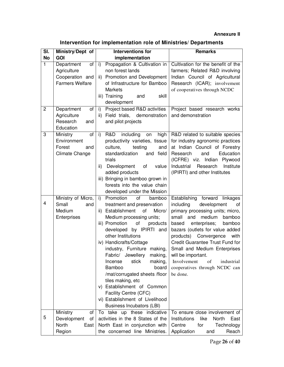# **Annexure II**

| Intervention for implementation role of Ministries/ Departments |  |  |
|-----------------------------------------------------------------|--|--|
|-----------------------------------------------------------------|--|--|

| SI.            | Ministry/Dept of                                                             | <b>Interventions for</b>                                                                                                                                                                                                                                                                                                                                                                                                                                                                                                                         | <b>Remarks</b>                                                                                                                                                                                                                                                                                                                                                                                                       |
|----------------|------------------------------------------------------------------------------|--------------------------------------------------------------------------------------------------------------------------------------------------------------------------------------------------------------------------------------------------------------------------------------------------------------------------------------------------------------------------------------------------------------------------------------------------------------------------------------------------------------------------------------------------|----------------------------------------------------------------------------------------------------------------------------------------------------------------------------------------------------------------------------------------------------------------------------------------------------------------------------------------------------------------------------------------------------------------------|
| <b>No</b>      | <b>GOI</b>                                                                   | implementation                                                                                                                                                                                                                                                                                                                                                                                                                                                                                                                                   |                                                                                                                                                                                                                                                                                                                                                                                                                      |
| $\mathbf{1}$   | Department<br>of<br>Agriculture<br>Cooperation and<br><b>Farmers Welfare</b> | Propagation & Cultivation in<br>$\mathsf{i}$ )<br>non forest lands<br><b>Promotion and Development</b><br>ii)<br>of Infrastructure for Bamboo<br><b>Markets</b><br>iii) Training<br>and<br>skill<br>development                                                                                                                                                                                                                                                                                                                                  | Cultivation for the benefit of the<br>farmers; Related R&D involving<br>Indian Council of Agricultural<br>Research (ICAR); involvement<br>of cooperatives through NCDC                                                                                                                                                                                                                                               |
| $\overline{c}$ | Department<br>of<br>Agriculture<br>Research<br>and<br>Education              | Project based R&D activities<br>i)<br>Field trials, demonstration<br>$\mathsf{ii}$<br>and pilot projects                                                                                                                                                                                                                                                                                                                                                                                                                                         | Project based research works<br>and demonstration                                                                                                                                                                                                                                                                                                                                                                    |
| 3              | Ministry<br>of<br>Environment<br>Forest<br>and<br>Climate Change             | i)<br><b>R&amp;D</b><br>including<br>high<br>on<br>productivity varieties, tissue<br>culture,<br>testing<br>and<br>standardization<br>and field<br>trials<br>Development<br>value<br>ii)<br>of<br>added products<br>iii) Bringing in bamboo grown in<br>forests into the value chain<br>developed under the Mission                                                                                                                                                                                                                              | R&D related to suitable species<br>for industry agronomic practices<br>at Indian Council of Forestry<br>Education<br>Research<br>and<br>(ICFRE) viz. Indian Plywood<br>Industrial<br>Research<br>Institute<br>(IPIRTI) and other Institutes                                                                                                                                                                          |
| 4              | Ministry of Micro,<br>Small<br>and<br>Medium<br>Enterprises                  | Promotion<br>of<br>i)<br>bamboo<br>treatment and preservation<br>ii) Establishment<br>of<br>Micro/<br>Medium processing units;<br>iii) Promotion<br>of<br>products<br>developed by IPIRTI and<br>other Institutions<br>iv) Handicrafts/Cottage<br>industry, Furniture making,<br>Fabric/ Jewellery making,<br>stick<br>making,<br>Incense<br>Bamboo<br>board<br>/mat/corrugated sheets /floor<br>tiles making, etc<br>v) Establishment of Common<br>Facility Centre (CFC)<br>vi) Establishment of Livelihood<br><b>Business Incubators (LBI)</b> | Establishing forward linkages<br>including<br>development<br>of<br>primary processing units; micro,<br>small and<br>medium<br>bamboo<br>enterprises;<br>bamboo<br>based<br>bazars (outlets for value added<br>products) Convergence<br>with<br>Credit Guarantee Trust Fund for<br>Small and Medium Enterprises<br>will be important.<br>Involvement<br>of<br>industrial<br>cooperatives through NCDC can<br>be done. |
| 5              | Ministry<br>οf<br>Development<br>of<br>North<br>East<br>Region               | To take up these indicative<br>activities in the 8 States of the<br>North East in conjunction with<br>the concerned line Ministries.                                                                                                                                                                                                                                                                                                                                                                                                             | To ensure close involvement of<br>Institutions<br>like<br>North<br>East<br>Centre<br>for<br>Technology<br>Application<br>Reach<br>and                                                                                                                                                                                                                                                                                |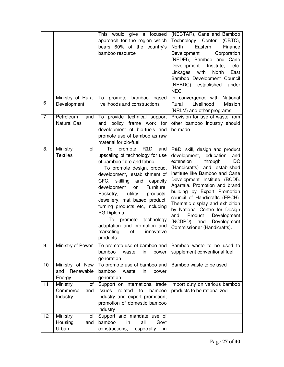|                |                                               | This would give a focused<br>approach for the region which<br>bears 60% of the country's<br>bamboo resource                                                                                                                                                                                                                                                                                                                                                                          | (NECTAR), Cane and Bamboo<br>Technology Center<br>$(CBTC)$ ,<br>North<br>Eastern<br>Finance<br>Corporation<br>Development<br>(NEDFI), Bamboo and Cane<br>Development Institute,<br>etc.<br>Linkages<br>with<br>North<br>East<br>Bamboo Development Council<br>(NEBDC)<br>established<br>under<br>NEC.                                                                                                                                                                  |
|----------------|-----------------------------------------------|--------------------------------------------------------------------------------------------------------------------------------------------------------------------------------------------------------------------------------------------------------------------------------------------------------------------------------------------------------------------------------------------------------------------------------------------------------------------------------------|------------------------------------------------------------------------------------------------------------------------------------------------------------------------------------------------------------------------------------------------------------------------------------------------------------------------------------------------------------------------------------------------------------------------------------------------------------------------|
| 6              | Ministry of Rural<br>Development              | To<br>promote bamboo<br>based<br>livelihoods and constructions                                                                                                                                                                                                                                                                                                                                                                                                                       | In convergence with National<br>Livelihood<br>Rural<br>Mission<br>(NRLM) and other programs                                                                                                                                                                                                                                                                                                                                                                            |
| $\overline{7}$ | Petroleum<br>and<br><b>Natural Gas</b>        | To provide technical support<br>policy frame work for<br>and<br>development of bio-fuels and<br>promote use of bamboo as raw<br>material for bio-fuel                                                                                                                                                                                                                                                                                                                                | Provision for use of waste from<br>other bamboo industry should<br>be made                                                                                                                                                                                                                                                                                                                                                                                             |
| 8.             | Ministry<br>οf<br><b>Textiles</b>             | To<br>R&D<br>i.<br>promote<br>and<br>upscaling of technology for use<br>of bamboo fibre and fabric<br>ii. To promote design, product<br>development, establishment of<br>CFC, skilling and<br>capacity<br>Furniture,<br>development<br>on<br>Basketry,<br>utility<br>products,<br>Jewellery, mat based product,<br>turning products etc, including<br>PG Diploma<br>To<br>promote<br>technology<br>iii.<br>adaptation and promotion and<br>marketing<br>of<br>innovative<br>products | R&D, skill, design and product<br>development, education<br>and<br>extension<br>DC<br>through<br>(Handicrafts) and established<br>institute like Bamboo and Cane<br>Development Institute (BCDI).<br>Agartala. Promotion and brand<br>building by Export Promotion<br>council of Handicrafts (EPCH).<br>Thematic display and exhibition<br>by National Centre for Design<br>Product<br>Development<br>and<br>(NCDPD) and<br>Development<br>Commissioner (Handicrafts). |
| 9.             | Ministry of Power                             | To promote use of bamboo and<br>bamboo<br>waste<br>in<br>power<br>generation                                                                                                                                                                                                                                                                                                                                                                                                         | Bamboo waste to be used to<br>supplement conventional fuel                                                                                                                                                                                                                                                                                                                                                                                                             |
| 10             | Ministry of New<br>Renewable<br>and<br>Energy | To promote use of bamboo and<br>bamboo<br>waste<br>in<br>power<br>generation                                                                                                                                                                                                                                                                                                                                                                                                         | Bamboo waste to be used                                                                                                                                                                                                                                                                                                                                                                                                                                                |
| 11             | Ministry<br>of<br>Commerce<br>and<br>Industry | Support on international trade<br>related<br>bamboo<br>issues<br>to<br>industry and export promotion;<br>promotion of domestic bamboo<br>industry                                                                                                                                                                                                                                                                                                                                    | Import duty on various bamboo<br>products to be rationalized                                                                                                                                                                                                                                                                                                                                                                                                           |
| 12             | Ministry<br>of<br>Housing<br>and<br>Urban     | Support and mandate use of<br>bamboo<br>all<br>in<br>Govt<br>constructions,<br>especially<br>in                                                                                                                                                                                                                                                                                                                                                                                      |                                                                                                                                                                                                                                                                                                                                                                                                                                                                        |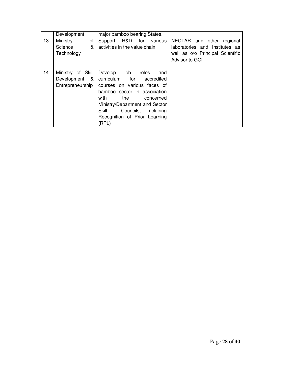|    | Development        | major bamboo bearing States.    |                                  |
|----|--------------------|---------------------------------|----------------------------------|
| 13 | Ministry<br>of     | Support R&D<br>for<br>various   | NECTAR and other<br>regional     |
|    | Science<br>&       | activities in the value chain   | laboratories and Institutes as   |
|    | Technology         |                                 | well as o/o Principal Scientific |
|    |                    |                                 | Advisor to GOI                   |
|    |                    |                                 |                                  |
| 14 | Ministry of Skill  | Develop<br>job<br>roles<br>and  |                                  |
|    | Development<br>- & | curriculum<br>for<br>accredited |                                  |
|    | Entrepreneurship   | courses on various faces of     |                                  |
|    |                    | bamboo sector in association    |                                  |
|    |                    | with<br>the<br>concerned        |                                  |
|    |                    | Ministry/Department and Sector  |                                  |
|    |                    | Skill<br>Councils,<br>including |                                  |
|    |                    | Recognition of Prior Learning   |                                  |
|    |                    | (RPL)                           |                                  |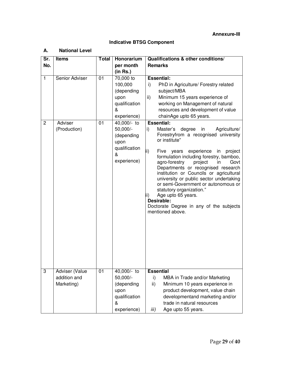# **Annexure-III**

# **Indicative BTSG Component**

## **A. National Level**

| Sr.                            | <b>Items</b>                                 | <b>Total</b>    | Honorarium                                                                                                                                                            | Qualifications & other conditions/                                                                                                                                                                                                                                                                                                                                                                                                                                                                                                                                                                                                                                                                                                                                                                       |
|--------------------------------|----------------------------------------------|-----------------|-----------------------------------------------------------------------------------------------------------------------------------------------------------------------|----------------------------------------------------------------------------------------------------------------------------------------------------------------------------------------------------------------------------------------------------------------------------------------------------------------------------------------------------------------------------------------------------------------------------------------------------------------------------------------------------------------------------------------------------------------------------------------------------------------------------------------------------------------------------------------------------------------------------------------------------------------------------------------------------------|
| No.                            |                                              |                 | per month                                                                                                                                                             | <b>Remarks</b>                                                                                                                                                                                                                                                                                                                                                                                                                                                                                                                                                                                                                                                                                                                                                                                           |
|                                |                                              |                 | (in Rs.)                                                                                                                                                              |                                                                                                                                                                                                                                                                                                                                                                                                                                                                                                                                                                                                                                                                                                                                                                                                          |
| $\mathbf{1}$<br>$\overline{2}$ | Senior Adviser<br>Adviser<br>(Production)    | 01<br>01        | 70,000 to<br>100,000<br>(depending<br>upon<br>qualification<br>&<br>experience)<br>40,000/- to<br>50,000/-<br>(depending<br>upon<br>qualification<br>&<br>experience) | <b>Essential:</b><br>PhD in Agriculture/ Forestry related<br>i)<br>subject/MBA<br>Minimum 15 years experience of<br>ii)<br>working on Management of natural<br>resources and development of value<br>chainAge upto 65 years.<br><b>Essential:</b><br>Agriculture/<br>i)<br>Master's<br>degree<br>in<br>Forestryfrom a recognised university<br>or institute"<br>ii)<br>experience in project<br>Five years<br>formulation including forestry, bamboo,<br>agro-forestry<br>project<br>in<br>Govt<br>Departments or recognised research<br>institution or Councils or agricultural<br>university or public sector undertaking<br>or semi-Government or autonomous or<br>statutory organization."<br>Age upto 65 years.<br>ii)<br>Desirable:<br>Doctorate Degree in any of the subjects<br>mentioned above. |
| 3                              | Adviser (Value<br>addition and<br>Marketing) | $\overline{01}$ | 40,000/- to<br>50,000/-<br>(depending<br>upon<br>qualification<br>&<br>experience)                                                                                    | <b>Essential</b><br>i)<br>MBA in Trade and/or Marketing<br>Minimum 10 years experience in<br>ii)<br>product development, value chain<br>developmentand marketing and/or<br>trade in natural resources<br>iii)<br>Age upto 55 years.                                                                                                                                                                                                                                                                                                                                                                                                                                                                                                                                                                      |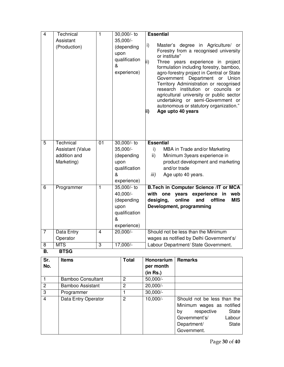| $\overline{4}$ | <b>Technical</b><br>Assistant<br>(Production)               | $\overline{1}$          | 30,000/- to<br>35,000/-<br>(depending<br>upon<br>qualification<br>&<br>experience)    | <b>Essential</b><br>$\mathsf{i}$<br>Master's degree in Agriculture/ or<br>Forestry from a recognised university<br>or institute"<br>ii)<br>Three years experience in project<br>formulation including forestry, bamboo,<br>agro-forestry project in Central or State<br>Government Department<br>or Union<br>Territory Administration or recognised<br>research institution or councils or<br>agricultural university or public sector |
|----------------|-------------------------------------------------------------|-------------------------|---------------------------------------------------------------------------------------|----------------------------------------------------------------------------------------------------------------------------------------------------------------------------------------------------------------------------------------------------------------------------------------------------------------------------------------------------------------------------------------------------------------------------------------|
|                |                                                             |                         |                                                                                       | undertaking or semi-Government or<br>autonomous or statutory organization."<br>Age upto 40 years<br>ii)                                                                                                                                                                                                                                                                                                                                |
| $\overline{5}$ | Technical<br>Assistant (Value<br>addition and<br>Marketing) | $\overline{01}$         | $30,000/$ - to<br>35,000/-<br>(depending<br>upon<br>qualification<br>&<br>experience) | <b>Essential</b><br>$\mathsf{i}$<br>MBA in Trade and/or Marketing<br>ii)<br>Minimum 3years experience in<br>product development and marketing<br>and/or trade<br>iii)<br>Age upto 40 years.                                                                                                                                                                                                                                            |
| $\overline{6}$ | Programmer                                                  | $\overline{1}$          | 35,000/- to<br>40,000/-<br>(depending<br>upon<br>qualification<br>&<br>experience)    | <b>B.Tech in Computer Science /IT or MCA</b><br>with one<br>years experience in<br>web<br>online<br>and<br>offline<br><b>MIS</b><br>desiging,<br>Development, programming                                                                                                                                                                                                                                                              |
| $\overline{7}$ | Data Entry<br>Operator                                      | $\overline{\mathbf{4}}$ | 20,000/-                                                                              | Should not be less than the Minimum<br>wages as notified by Delhi Government's/                                                                                                                                                                                                                                                                                                                                                        |
| 8<br>D         | <b>MTS</b><br><b>DTCA</b>                                   | $\overline{3}$          | $17,000/-$                                                                            | Labour Department/ State Government.                                                                                                                                                                                                                                                                                                                                                                                                   |

# **B. BTSG**

| Sr.            | <b>Items</b>             | <b>Total</b>   | Honorarium | <b>Remarks</b>                   |
|----------------|--------------------------|----------------|------------|----------------------------------|
| No.            |                          |                | per month  |                                  |
|                |                          |                | (in Rs.)   |                                  |
|                | <b>Bamboo Consultant</b> | 2              | $50,000/-$ |                                  |
| $\overline{2}$ | Bamboo Assistant         | $\overline{2}$ | 20,000/-   |                                  |
| 3              | Programmer               |                | $30,000/-$ |                                  |
| $\overline{4}$ | Data Entry Operator      | $\overline{2}$ | $10,000/-$ | Should not be less than the      |
|                |                          |                |            | Minimum wages as notified        |
|                |                          |                |            | respective<br><b>State</b><br>by |
|                |                          |                |            | Government's/<br>Labour          |
|                |                          |                |            | <b>State</b><br>Department/      |
|                |                          |                |            | Government.                      |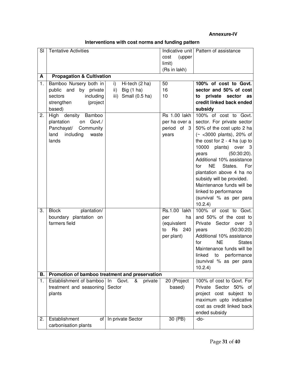# **Annexure-IV**

| SI | <b>Tentative Activities</b>                    |                                  |                     | Indicative unit   Pattern of assistance               |
|----|------------------------------------------------|----------------------------------|---------------------|-------------------------------------------------------|
|    |                                                |                                  | (upper<br>cost      |                                                       |
|    |                                                |                                  | limit)              |                                                       |
|    |                                                |                                  | (Rs in lakh)        |                                                       |
| A  | <b>Propagation &amp; Cultivation</b>           |                                  |                     |                                                       |
| 1. | Bamboo Nursery both in                         | Hi-tech (2 ha)<br>$\mathsf{i}$ ) | 50                  | 100% of cost to Govt.                                 |
|    | public and by private                          | Big $(1)$ ha)<br>ii)             | 16                  | sector and 50% of cost                                |
|    | including<br>sectors                           | iii) Small (0.5 ha)              | 10                  | private sector as<br>to                               |
|    | strengthen<br>(project                         |                                  |                     | credit linked back ended                              |
|    | based)                                         |                                  |                     | subsidy                                               |
| 2. | High density Bamboo                            |                                  | <b>Rs 1.00 lakh</b> | 100% of cost to Govt.                                 |
|    | on Govt./<br>plantation                        |                                  | per ha over a       | sector. For private sector                            |
|    | Panchayat/<br>Community                        |                                  | period of 3         | 50% of the cost upto 2 ha                             |
|    | land<br>including<br>waste                     |                                  | years               | $($ < $<$ 3000 plants), 20% of                        |
|    | lands                                          |                                  |                     | the cost for $2 - 4$ ha (up to                        |
|    |                                                |                                  |                     | 10000<br>plants) over 3                               |
|    |                                                |                                  |                     | $(50:30:20)$ .<br>years                               |
|    |                                                |                                  |                     | Additional 10% assistance                             |
|    |                                                |                                  |                     | NE.<br>States.<br>For<br>for                          |
|    |                                                |                                  |                     | plantation above 4 ha no<br>subsidy will be provided. |
|    |                                                |                                  |                     | Maintenance funds will be                             |
|    |                                                |                                  |                     | linked to performance                                 |
|    |                                                |                                  |                     | (survival % as per para                               |
|    |                                                |                                  |                     | 10.2.4)                                               |
| 3. | <b>Block</b><br>plantation/                    |                                  | Rs.1.00 lakh        | 100% of cost to Govt.                                 |
|    | boundary plantation on                         |                                  | per<br>ha           | and 50% of the cost to                                |
|    | farmers field                                  |                                  | (equivalent         | Private Sector over 3                                 |
|    |                                                |                                  | 240<br>Rs<br>to     | (50:30:20)<br>years                                   |
|    |                                                |                                  | per plant)          | Additional 10% assistance                             |
|    |                                                |                                  |                     | <b>NE</b><br><b>States</b><br>for                     |
|    |                                                |                                  |                     | Maintenance funds will be                             |
|    |                                                |                                  |                     | linked<br>to<br>performance                           |
|    |                                                |                                  |                     | (survival % as per para                               |
|    |                                                |                                  |                     | 10.2.4)                                               |
| В. | Promotion of bamboo treatment and preservation |                                  |                     |                                                       |
| 1. | Establishment of bamboo                        | Govt.<br>In<br>&<br>private      | 20 (Project         | 100% of cost to Govt. For                             |
|    | treatment and seasoning                        | Sector                           | based)              | Private Sector 50% of                                 |
|    | plants                                         |                                  |                     | project cost subject<br>to                            |
|    |                                                |                                  |                     | maximum upto indicative                               |
|    |                                                |                                  |                     | cost as credit linked back                            |
|    |                                                |                                  |                     | ended subsidy                                         |
| 2. | Establishment<br>οf                            | In private Sector                | 30 (PB)             | -do-                                                  |
|    | carbonisation plants                           |                                  |                     |                                                       |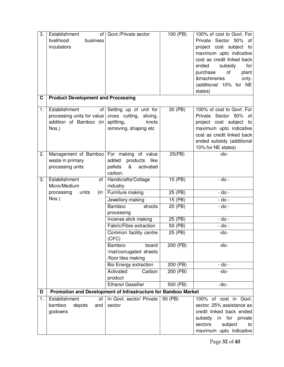| 3. | Establishment                                                 | of   Govt./Private sector | 100 (PB) | 100% of cost to Govt. For               |
|----|---------------------------------------------------------------|---------------------------|----------|-----------------------------------------|
|    | livelihood<br>business                                        |                           |          | Private Sector 50% of                   |
|    | incubators                                                    |                           |          | project cost subject to                 |
|    |                                                               |                           |          | maximum upto indicative                 |
|    |                                                               |                           |          | cost as credit linked back              |
|    |                                                               |                           |          | subsidy<br>ended<br>for                 |
|    |                                                               |                           |          |                                         |
|    |                                                               |                           |          | purchase<br>of<br>plant<br>&machineries |
|    |                                                               |                           |          | only.                                   |
|    |                                                               |                           |          | (additional 10% for NE                  |
| C  | <b>Product Development and Processing</b>                     |                           |          | states)                                 |
|    |                                                               |                           |          |                                         |
| 1. | Establishment                                                 | of Setting up of unit for | 30 (PB)  | 100% of cost to Govt. For               |
|    | processing units for value cross cutting, slicing,            |                           |          | Private Sector 50% of                   |
|    | addition of Bamboo (in splitting,                             | knots                     |          | project cost subject to                 |
|    | Nos.)                                                         | removing, shaping etc     |          | maximum upto indicative                 |
|    |                                                               |                           |          | cost as credit linked back              |
|    |                                                               |                           |          | ended subsidy (additional               |
|    |                                                               |                           |          | 10% for NE states)                      |
| 2. | Management of Bamboo For making of value                      |                           | 25(PB)   | -do-                                    |
|    | waste in primary                                              | added<br>products<br>like |          |                                         |
|    | processing units                                              | pellets<br>&<br>activated |          |                                         |
|    |                                                               | carbon.                   |          |                                         |
| 3. | Establishment<br>of                                           | Handicrafts/Cottage       | 15 (PB)  | - do -                                  |
|    | Micro/Medium                                                  | industry                  |          |                                         |
|    | processing<br>units<br>(in                                    | Furniture making          | 25(PB)   | - do -                                  |
|    | Nos.)                                                         | Jewellery making          | 15(PB)   | - do -                                  |
|    |                                                               | Bamboo<br>shoots          | 20 (PB)  | - do -                                  |
|    |                                                               | processing                |          |                                         |
|    |                                                               | Incense stick making      | 25(PB)   | - do -                                  |
|    |                                                               | Fabric/Fibre extraction   | 50 (PB)  | - do -                                  |
|    |                                                               | Common facility centre    | 25 (PB)  | -do-                                    |
|    |                                                               | (CFC)                     |          |                                         |
|    |                                                               | Bamboo<br>board           | 200(PB)  | -do-                                    |
|    |                                                               | /mat/corrugated sheets    |          |                                         |
|    |                                                               | /floor tiles making       |          |                                         |
|    |                                                               | Bio Energy extraction     | 200(PB)  | - do -                                  |
|    |                                                               | Activated<br>Carbon       | 200 (PB) | $-do-$                                  |
|    |                                                               | product                   |          |                                         |
|    |                                                               | <b>Ethanol Gassifier</b>  | 500 (PB) | $-do-.$                                 |
| D  | Promotion and Development of Infrastructure for Bamboo Market |                           |          |                                         |
| 1. | Establishment<br>οf                                           | In Govt. sector/ Private  | 50 (PB)  | 100% of cost in Govt.                   |
|    | bamboo<br>depots<br>and                                       | sector                    |          | sector. 25% assistance as               |
|    | godowns                                                       |                           |          | credit linked back ended                |
|    |                                                               |                           |          | subsidy in for private                  |
|    |                                                               |                           |          | sectors<br>subject<br>to                |
|    |                                                               |                           |          | maximum upto indicative                 |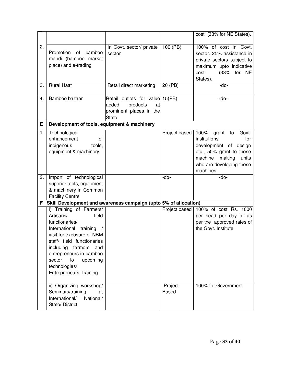|    |                                                                                                                                                                                                                                                                                              |                                                                                                       |                         | cost (33% for NE States).                                                                                                                                                      |
|----|----------------------------------------------------------------------------------------------------------------------------------------------------------------------------------------------------------------------------------------------------------------------------------------------|-------------------------------------------------------------------------------------------------------|-------------------------|--------------------------------------------------------------------------------------------------------------------------------------------------------------------------------|
| 2. | Promotion of<br>bamboo<br>mandi (bamboo market<br>place) and e-trading                                                                                                                                                                                                                       | In Govt. sector/ private<br>sector                                                                    | 100 (PB)                | 100% of cost in Govt.<br>sector. 25% assistance in<br>private sectors subject to<br>maximum upto indicative<br>(33% for NE<br>cost<br>States).                                 |
| 3. | <b>Rural Haat</b>                                                                                                                                                                                                                                                                            | Retail direct marketing                                                                               | 20 (PB)                 | -do-                                                                                                                                                                           |
| 4. | Bamboo bazaar                                                                                                                                                                                                                                                                                | Retail outlets for value 15(PB)<br>added<br>products<br>at<br>prominent places in the<br><b>State</b> |                         | -do-                                                                                                                                                                           |
| Е  | Development of tools, equipment & machinery                                                                                                                                                                                                                                                  |                                                                                                       |                         |                                                                                                                                                                                |
| 1. | Technological<br>enhancement<br>of<br>tools,<br>indigenous<br>equipment & machinery                                                                                                                                                                                                          |                                                                                                       | Project based           | 100%<br>grant<br>Govt.<br>to<br>institutions<br>for<br>development of design<br>etc., 50% grant to those<br>machine<br>making<br>units<br>who are developing these<br>machines |
| 2. | Import of technological<br>superior tools, equipment<br>& machinery in Common<br><b>Facility Centre</b>                                                                                                                                                                                      |                                                                                                       | -do-                    | -do-                                                                                                                                                                           |
| F  | Skill Development and awareness campaign (upto 5% of allocation)                                                                                                                                                                                                                             |                                                                                                       |                         |                                                                                                                                                                                |
|    | i) Training of Farmers/<br>Artisans/<br>field<br>functionaries/<br>International<br>training<br>visit for exposure of NBM<br>staff/ field functionaries<br>including farmers<br>and<br>entrepreneurs in bamboo<br>sector<br>to<br>upcoming<br>technologies/<br><b>Entrepreneurs Training</b> |                                                                                                       |                         | Project based   100% of cost Rs. 1000<br>per head per day or as<br>per the approved rates of<br>the Govt. Institute                                                            |
|    | ii) Organizing workshop/<br>Seminars/training<br>at<br>National/<br>International/<br>State/District                                                                                                                                                                                         |                                                                                                       | Project<br><b>Based</b> | 100% for Government                                                                                                                                                            |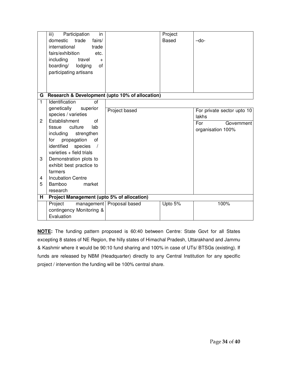|                | iii)<br>Participation<br>in                       |                           | Project      |                            |
|----------------|---------------------------------------------------|---------------------------|--------------|----------------------------|
|                | domestic<br>trade<br>fairs/                       |                           | <b>Based</b> | $-do-$                     |
|                | international<br>trade                            |                           |              |                            |
|                | fairs/exhibition<br>etc.                          |                           |              |                            |
|                | including<br>travel<br>$+$                        |                           |              |                            |
|                | boarding/<br>lodging<br>of                        |                           |              |                            |
|                | participating artisans                            |                           |              |                            |
|                |                                                   |                           |              |                            |
|                |                                                   |                           |              |                            |
|                |                                                   |                           |              |                            |
| G.             | Research & Development (upto 10% of allocation)   |                           |              |                            |
| $\overline{1}$ | Identification<br>$\overline{of}$                 |                           |              |                            |
|                | genetically<br>superior                           | Project based             |              | For private sector upto 10 |
|                | species / varieties                               |                           |              | lakhs                      |
| $\overline{2}$ | Establishment<br>οf                               |                           |              | For<br>Government          |
|                | culture<br>lab<br>tissue                          |                           |              | organisation 100%          |
|                | including<br>strengthen                           |                           |              |                            |
|                | propagation<br>of<br>for                          |                           |              |                            |
|                | identified<br>species<br>$\sqrt{ }$               |                           |              |                            |
|                | varieties + field trials                          |                           |              |                            |
| 3              | Demonstration plots to                            |                           |              |                            |
|                | exhibit best practice to                          |                           |              |                            |
|                | farmers                                           |                           |              |                            |
| 4              | <b>Incubation Centre</b>                          |                           |              |                            |
| 5              | <b>Bamboo</b><br>market                           |                           |              |                            |
|                | research                                          |                           |              |                            |
| н              | <b>Project Management (upto 5% of allocation)</b> |                           |              |                            |
|                | Project                                           | management Proposal based | Upto 5%      | 100%                       |
|                | contingency Monitoring &                          |                           |              |                            |
|                | Evaluation                                        |                           |              |                            |

**NOTE:** The funding pattern proposed is 60:40 between Centre: State Govt for all States excepting 8 states of NE Region, the hilly states of Himachal Pradesh, Uttarakhand and Jammu & Kashmir where it would be 90:10 fund sharing and 100% in case of UTs/ BTSGs (existing). If funds are released by NBM (Headquarter) directly to any Central Institution for any specific project / intervention the funding will be 100% central share.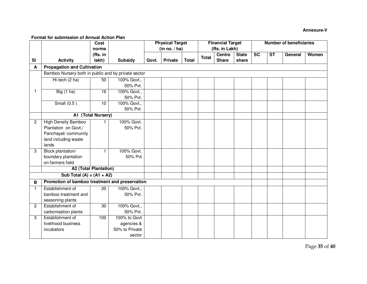## **Annexure-V**

#### **Format for submission of Annual Action Plan**

|                |                                                     | Cost               |                |       | <b>Physical Target</b> |              |              | <b>Financial Target</b> |              |                        |                        | <b>Number of beneficiaries</b> |       |
|----------------|-----------------------------------------------------|--------------------|----------------|-------|------------------------|--------------|--------------|-------------------------|--------------|------------------------|------------------------|--------------------------------|-------|
|                |                                                     | norms              |                |       | (in no. / ha)          |              |              | (Rs. in Lakh)           |              |                        |                        |                                |       |
|                |                                                     | (Rs. in            |                |       |                        |              | <b>Total</b> | <b>Centre</b>           | <b>State</b> | $\overline{\text{sc}}$ | $\overline{\text{ST}}$ | General                        | Women |
| <b>SI</b>      | <b>Activity</b>                                     | lakh)              | Subsidy        | Govt. | <b>Private</b>         | <b>Total</b> |              | <b>Share</b>            | share        |                        |                        |                                |       |
| A              | <b>Propagation and Cultivation</b>                  |                    |                |       |                        |              |              |                         |              |                        |                        |                                |       |
|                | Bamboo Nursery both in public and by private sector |                    |                |       |                        |              |              |                         |              |                        |                        |                                |       |
|                | Hi-tech (2 ha)                                      | 50                 | 100% Govt.,    |       |                        |              |              |                         |              |                        |                        |                                |       |
|                |                                                     |                    | 50% Pvt.       |       |                        |              |              |                         |              |                        |                        |                                |       |
| $\mathbf{1}$   | Big $(1)$ ha)                                       | 16                 | 100% Govt.,    |       |                        |              |              |                         |              |                        |                        |                                |       |
|                |                                                     |                    | 50% Pvt.       |       |                        |              |              |                         |              |                        |                        |                                |       |
|                | Small $(0.5)$                                       | 10                 | 100% Govt.,    |       |                        |              |              |                         |              |                        |                        |                                |       |
|                |                                                     |                    | 50% Pvt.       |       |                        |              |              |                         |              |                        |                        |                                |       |
|                |                                                     | A1 (Total Nursery) |                |       |                        |              |              |                         |              |                        |                        |                                |       |
| 2              | <b>High Density Bamboo</b>                          |                    | 100% Govt.     |       |                        |              |              |                         |              |                        |                        |                                |       |
|                | Plantation on Govt./                                |                    | 50% Pvt.       |       |                        |              |              |                         |              |                        |                        |                                |       |
|                | Panchayat/ community                                |                    |                |       |                        |              |              |                         |              |                        |                        |                                |       |
|                | land including waste                                |                    |                |       |                        |              |              |                         |              |                        |                        |                                |       |
|                | lands                                               |                    |                |       |                        |              |              |                         |              |                        |                        |                                |       |
| 3              | Block plantation/                                   | 1.                 | 100% Govt.     |       |                        |              |              |                         |              |                        |                        |                                |       |
|                | boundary plantation                                 |                    | 50% Pvt        |       |                        |              |              |                         |              |                        |                        |                                |       |
|                | on farmers field                                    |                    |                |       |                        |              |              |                         |              |                        |                        |                                |       |
|                | <b>A2 (Total Plantation)</b>                        |                    |                |       |                        |              |              |                         |              |                        |                        |                                |       |
|                | Sub Total $(A) = (A1 + A2)$                         |                    |                |       |                        |              |              |                         |              |                        |                        |                                |       |
| B              | Promotion of bamboo treatment and preservation      |                    |                |       |                        |              |              |                         |              |                        |                        |                                |       |
| $\mathbf{1}$   | Establishment of                                    | 20                 | 100% Govt.,    |       |                        |              |              |                         |              |                        |                        |                                |       |
|                | bamboo treatment and                                |                    | 50% Pvt.       |       |                        |              |              |                         |              |                        |                        |                                |       |
|                | seasoning plants                                    |                    |                |       |                        |              |              |                         |              |                        |                        |                                |       |
| $\overline{c}$ | Establishment of                                    | 30                 | 100% Govt.,    |       |                        |              |              |                         |              |                        |                        |                                |       |
|                | carbonisation plants                                |                    | 50% Pvt.       |       |                        |              |              |                         |              |                        |                        |                                |       |
| 3              | Establishment of                                    | 100                | 100% to Govt   |       |                        |              |              |                         |              |                        |                        |                                |       |
|                | livelihood business                                 |                    | agencies &     |       |                        |              |              |                         |              |                        |                        |                                |       |
|                | incubators                                          |                    | 50% to Private |       |                        |              |              |                         |              |                        |                        |                                |       |
|                |                                                     |                    | sector         |       |                        |              |              |                         |              |                        |                        |                                |       |

Page **35** of **40**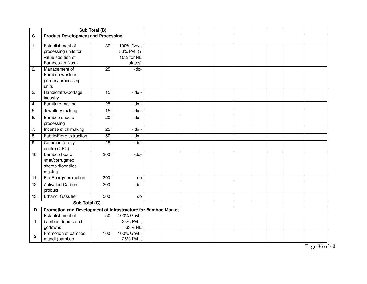|                         |                                                                                   | Sub Total (B)    |                                                    |  |  |  |  |  |
|-------------------------|-----------------------------------------------------------------------------------|------------------|----------------------------------------------------|--|--|--|--|--|
| $\overline{\mathbf{c}}$ | <b>Product Development and Processing</b>                                         |                  |                                                    |  |  |  |  |  |
| 1.                      | Establishment of<br>processing units for<br>value addition of<br>Bamboo (in Nos.) | $\overline{30}$  | 100% Govt.<br>50% Pvt. (+<br>10% for NE<br>states) |  |  |  |  |  |
| 2.                      | Management of<br>Bamboo waste in<br>primary processing<br>units                   | 25               | -do-                                               |  |  |  |  |  |
| 3.                      | Handicrafts/Cottage<br>industry                                                   | 15               | - do -                                             |  |  |  |  |  |
| 4.                      | Furniture making                                                                  | $\overline{25}$  | $-do -$                                            |  |  |  |  |  |
| 5.                      | Jewellery making                                                                  | 15               | $-do -$                                            |  |  |  |  |  |
| 6.                      | Bamboo shoots<br>processing                                                       | $\overline{20}$  | $-do -$                                            |  |  |  |  |  |
| 7.                      | Incense stick making                                                              | $\overline{25}$  | $-do -$                                            |  |  |  |  |  |
| 8.                      | Fabric/Fibre extraction                                                           | 50               | $-do -$                                            |  |  |  |  |  |
| 9.                      | Common facility<br>centre (CFC)                                                   | $\overline{25}$  | -do-                                               |  |  |  |  |  |
| 10.                     | Bamboo board<br>/mat/corrugated<br>sheets /floor tiles<br>making                  | 200              | -do-                                               |  |  |  |  |  |
| 11.                     | <b>Bio Energy extraction</b>                                                      | 200              | do                                                 |  |  |  |  |  |
| $\overline{12}$ .       | <b>Activated Carbon</b><br>product                                                | $\overline{200}$ | $-do-$                                             |  |  |  |  |  |
| 13.                     | <b>Ethanol Gassifier</b>                                                          | 500              | do                                                 |  |  |  |  |  |
|                         | Sub Total (C)                                                                     |                  |                                                    |  |  |  |  |  |
| D                       | Promotion and Development of Infrastructure for Bamboo Market                     |                  |                                                    |  |  |  |  |  |
|                         | Establishment of                                                                  | 50               | 100% Govt.,                                        |  |  |  |  |  |
| 1                       | bamboo depots and<br>godowns                                                      |                  | 25% Pvt,<br>33% NE                                 |  |  |  |  |  |
| 2                       | Promotion of bamboo                                                               | 100              | 100% Govt.,                                        |  |  |  |  |  |
|                         | mandi (bamboo                                                                     |                  | 25% Pvt,                                           |  |  |  |  |  |

Page **36** of **40**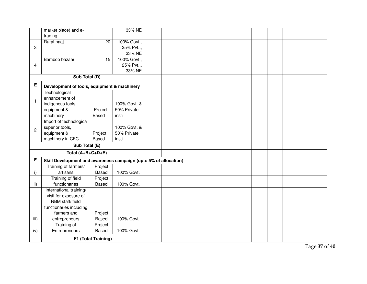|                | market place) and e-                                             |                     | 33% NE       |  |  |  |  |  |
|----------------|------------------------------------------------------------------|---------------------|--------------|--|--|--|--|--|
|                | trading                                                          |                     |              |  |  |  |  |  |
|                | Rural haat                                                       | $\overline{20}$     | 100% Govt.,  |  |  |  |  |  |
| 3              |                                                                  |                     | 25% Pvt,     |  |  |  |  |  |
|                |                                                                  |                     | 33% NE       |  |  |  |  |  |
|                | Bamboo bazaar                                                    | 15                  | 100% Govt.,  |  |  |  |  |  |
| 4              |                                                                  |                     | 25% Pvt,     |  |  |  |  |  |
|                |                                                                  |                     | 33% NE       |  |  |  |  |  |
|                | Sub Total (D)                                                    |                     |              |  |  |  |  |  |
| E              | Development of tools, equipment & machinery                      |                     |              |  |  |  |  |  |
|                | Technological                                                    |                     |              |  |  |  |  |  |
| $\mathbf{1}$   | enhancement of                                                   |                     |              |  |  |  |  |  |
|                | indigenous tools,                                                |                     | 100% Govt. & |  |  |  |  |  |
|                | equipment &                                                      | Project             | 50% Private  |  |  |  |  |  |
|                | machinery                                                        | <b>Based</b>        | insti        |  |  |  |  |  |
|                | Import of technological                                          |                     |              |  |  |  |  |  |
| $\overline{2}$ | superior tools,                                                  |                     | 100% Govt. & |  |  |  |  |  |
|                | equipment &                                                      | Project             | 50% Private  |  |  |  |  |  |
|                | machinery in CFC                                                 | <b>Based</b>        | insti        |  |  |  |  |  |
|                | Sub Total (E)                                                    |                     |              |  |  |  |  |  |
|                | Total (A+B+C+D+E)                                                |                     |              |  |  |  |  |  |
| F              | Skill Development and awareness campaign (upto 5% of allocation) |                     |              |  |  |  |  |  |
|                | Training of farmers/                                             | Project             |              |  |  |  |  |  |
| i)             | artisans                                                         | <b>Based</b>        | 100% Govt.   |  |  |  |  |  |
|                | Training of field                                                | Project             |              |  |  |  |  |  |
| ii)            | functionaries                                                    | <b>Based</b>        | 100% Govt.   |  |  |  |  |  |
|                | International training/                                          |                     |              |  |  |  |  |  |
|                | visit for exposure of                                            |                     |              |  |  |  |  |  |
|                | NBM staff/field                                                  |                     |              |  |  |  |  |  |
|                | functionaries including                                          |                     |              |  |  |  |  |  |
|                | farmers and                                                      | Project             |              |  |  |  |  |  |
| iii)           | entrepreneurs                                                    | <b>Based</b>        | 100% Govt.   |  |  |  |  |  |
|                | Training of                                                      | Project             |              |  |  |  |  |  |
| iv)            | Entrepreneurs                                                    | Based               | 100% Govt.   |  |  |  |  |  |
|                |                                                                  | F1 (Total Training) |              |  |  |  |  |  |

Page **37** of **40**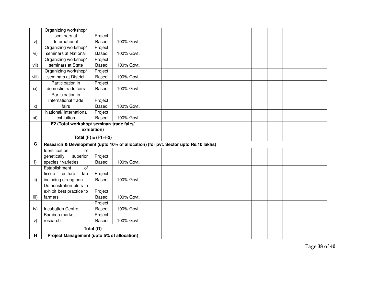|       | Organizing workshop/                                                               |                         |            |  |  |  |  |  |
|-------|------------------------------------------------------------------------------------|-------------------------|------------|--|--|--|--|--|
|       | seminars at                                                                        | Project                 |            |  |  |  |  |  |
| V)    | International                                                                      | <b>Based</b>            | 100% Govt. |  |  |  |  |  |
|       | Organizing workshop/                                                               | Project                 |            |  |  |  |  |  |
| vi)   | seminars at National                                                               | <b>Based</b>            | 100% Govt. |  |  |  |  |  |
|       | Organizing workshop/                                                               | Project                 |            |  |  |  |  |  |
| vii)  | seminars at State                                                                  | Based                   | 100% Govt. |  |  |  |  |  |
|       | Organizing workshop/                                                               | Project                 |            |  |  |  |  |  |
| viii) | seminars at District                                                               | Based                   | 100% Govt. |  |  |  |  |  |
|       | Participation in                                                                   | Project                 |            |  |  |  |  |  |
| ix)   | domestic trade fairs                                                               | <b>Based</b>            | 100% Govt. |  |  |  |  |  |
|       | Participation in                                                                   |                         |            |  |  |  |  |  |
|       | international trade                                                                | Project                 |            |  |  |  |  |  |
| X)    | fairs                                                                              | <b>Based</b>            | 100% Govt. |  |  |  |  |  |
|       | National/ International                                                            | Project                 |            |  |  |  |  |  |
| xi)   | exhibition                                                                         | <b>Based</b>            | 100% Govt. |  |  |  |  |  |
|       | F2 (Total workshop/seminar/trade fairs/                                            |                         |            |  |  |  |  |  |
|       |                                                                                    | exhibition)             |            |  |  |  |  |  |
|       |                                                                                    | Total $(F) = (F1 + F2)$ |            |  |  |  |  |  |
|       |                                                                                    |                         |            |  |  |  |  |  |
| G     | Research & Development (upto 10% of allocation) (for pvt. Sector upto Rs.10 lakhs) |                         |            |  |  |  |  |  |
|       | Identification<br>$\overline{of}$                                                  |                         |            |  |  |  |  |  |
|       | genetically<br>superior                                                            | Project                 |            |  |  |  |  |  |
| i)    | species / varieties                                                                | <b>Based</b>            | 100% Govt. |  |  |  |  |  |
|       | Establishment<br>$\overline{of}$                                                   |                         |            |  |  |  |  |  |
|       | culture<br>tissue<br>lab                                                           | Project                 |            |  |  |  |  |  |
| ii)   | including strengthen                                                               | <b>Based</b>            | 100% Govt. |  |  |  |  |  |
|       | Demonstration plots to                                                             |                         |            |  |  |  |  |  |
|       | exhibit best practice to                                                           | Project                 |            |  |  |  |  |  |
| iii)  | farmers                                                                            | <b>Based</b>            | 100% Govt. |  |  |  |  |  |
|       |                                                                                    | Project                 |            |  |  |  |  |  |
| iv)   | <b>Incubation Centre</b>                                                           | <b>Based</b>            | 100% Govt. |  |  |  |  |  |
|       | Bamboo market                                                                      | Project                 |            |  |  |  |  |  |
| V)    | research                                                                           | <b>Based</b>            | 100% Govt. |  |  |  |  |  |
|       |                                                                                    | Total (G)               |            |  |  |  |  |  |

Page **38** of **40**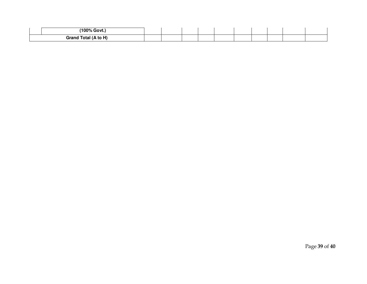| $100\%$<br>$\sim$<br>$\overline{A}$ Govt      |  |  |  |  |  |
|-----------------------------------------------|--|--|--|--|--|
| $(A \nightharpoonup A)$<br><b>Grand Total</b> |  |  |  |  |  |